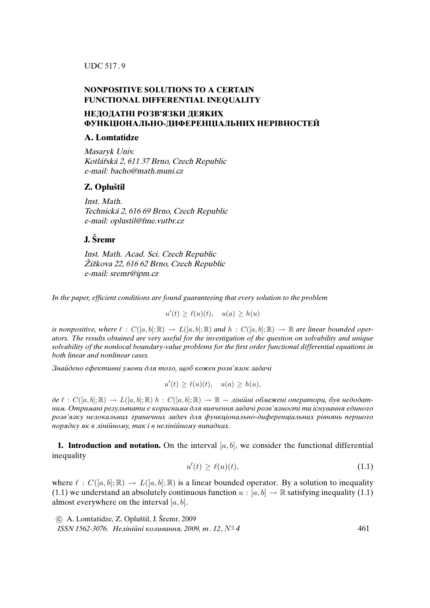UDC 517 . 9

### **NONPOSITIVE SOLUTIONS TO A CERTAIN FUNCTIONAL DIFFERENTIAL INEQUALITY**

## **НЕДОДАТНI РОЗВ'ЯЗКИ ДЕЯКИХ ФУНКЦIОНАЛЬНО-ДИФЕРЕНЦIАЛЬНИХ НЕРIВНОСТЕЙ**

#### **A. Lomtatidze**

Masaryk Univ. Kotlářská 2, 611 37 Brno, Czech Republic e-mail: bacho@math.muni.cz

## **Z. Oplustil ˇ**

Inst. Math. Technická 2, 616 69 Brno, Czech Republic e-mail: oplustil@fme.vutbr.cz

# **J. Sremr ˇ**

Inst. Math. Acad. Sci. Czech Republic Žižkova 22, 616 62 Brno, Czech Republic e-mail: sremr@ipm.cz

*In the paper, efficient conditions are found guaranteeing that every solution to the problem*

$$
u'(t) \ge \ell(u)(t), \quad u(a) \ge h(u)
$$

*is nonpositive, where*  $\ell : C([a, b]; \mathbb{R}) \to L([a, b]; \mathbb{R})$  and  $h : C([a, b]; \mathbb{R}) \to \mathbb{R}$  are linear bounded oper*ators. The results obtained are very useful for the investigation of the question on solvability and unique solvability of the nonlocal boundary-value problems for the first order functional differential equations in both linear and nonlinear cases.*

Знайдено ефективнi умови для того, щоб кожен розв'язок задачi

$$
u'(t) \ge \ell(u)(t), \quad u(a) \ge h(u),
$$

 $\partial e \ell : C([a, b]; \mathbb{R}) \to L([a, b]; \mathbb{R})$  h :  $C([a, b]; \mathbb{R}) \to \mathbb{R}$  — лінійні обмежені оператори, був недодатним. Отриманi результати є корисними для вивчення задачi розв'язностi та iснування єдиного розв'язку нелокальних граничних задач для функцiонально-диференцiальних рiвнянь першого порядку як в лiнiйному, так i в нелiнiйному випадках.

**1. Introduction and notation.** On the interval  $[a, b]$ , we consider the functional differential inequality

$$
u'(t) \ge \ell(u)(t),\tag{1.1}
$$

where  $\ell : C([a, b]; \mathbb{R}) \to L([a, b]; \mathbb{R})$  is a linear bounded operator. By a solution to inequality (1.1) we understand an absolutely continuous function  $u : [a, b] \rightarrow \mathbb{R}$  satisfying inequality (1.1) almost everywhere on the interval  $[a, b]$ .

 $\hat{c}$  A. Lomtatidze, Z. Opluštil, J. Šremr, 2009 *ISSN 1562-3076.* Нелiнiйнi коливання, 2009, т . 12, N◦ *4* 461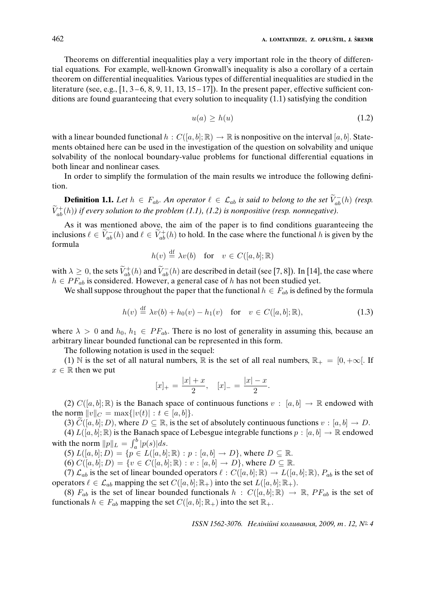Theorems on differential inequalities play a very important role in the theory of differential equations. For example, well-known Gronwall's inequality is also a corollary of a certain theorem on differential inequalities. Various types of differential inequalities are studied in the literature (see, e.g.,  $[1, 3 - 6, 8, 9, 11, 13, 15 - 17]$ ). In the present paper, effective sufficient conditions are found guaranteeing that every solution to inequality (1.1) satisfying the condition

$$
u(a) \ge h(u) \tag{1.2}
$$

with a linear bounded functional  $h : C([a, b]; \mathbb{R}) \to \mathbb{R}$  is nonpositive on the interval [a, b]. Statements obtained here can be used in the investigation of the question on solvability and unique solvability of the nonlocal boundary-value problems for functional differential equations in both linear and nonlinear cases.

In order to simplify the formulation of the main results we introduce the following definition.

**Definition 1.1.** *Let*  $h \in F_{ab}$ . *An operator*  $\ell \in \mathcal{L}_{ab}$  *is said to belong to the set*  $\widetilde{V}_{ab}^{-}(h)$  *(resp.*  $\widetilde{V}_{ab}^{+}(h)$ ) if every solution to the problem (1.1), (1.2) is nonpositive (resp. nonnegative).

As it was mentioned above, the aim of the paper is to find conditions guaranteeing the inclusions  $\ell \in \widetilde{V}_{ab}^{-}(h)$  and  $\ell \in \widetilde{V}_{ab}^{+}(h)$  to hold. In the case where the functional h is given by the formula

$$
h(v) \stackrel{\text{df}}{=} \lambda v(b) \quad \text{for} \quad v \in C([a, b]; \mathbb{R})
$$

with  $\lambda \geq 0$ , the sets  $\tilde{V}_{ab}^{+}(h)$  and  $\tilde{V}_{ab}^{-}(h)$  are described in detail (see [7, 8]). In [14], the case where  $h \in PF_{ab}$  is considered. However, a general case of h has not been studied yet.

We shall suppose throughout the paper that the functional  $h \in F_{ab}$  is defined by the formula

$$
h(v) \stackrel{\text{df}}{=} \lambda v(b) + h_0(v) - h_1(v) \quad \text{for} \quad v \in C([a, b]; \mathbb{R}), \tag{1.3}
$$

where  $\lambda > 0$  and  $h_0, h_1 \in PF_{ab}$ . There is no lost of generality in assuming this, because an arbitrary linear bounded functional can be represented in this form.

The following notation is used in the sequel:

(1) N is the set of all natural numbers, R is the set of all real numbers,  $\mathbb{R}_+ = [0, +\infty]$ . If  $x \in \mathbb{R}$  then we put

$$
[x]_{+} = \frac{|x| + x}{2}, \quad [x]_{-} = \frac{|x| - x}{2}.
$$

(2)  $C([a, b]; \mathbb{R})$  is the Banach space of continuous functions  $v : [a, b] \rightarrow \mathbb{R}$  endowed with the norm  $||v||_C = \max\{|v(t)| : t \in [a, b]\}.$ 

(3)  $\widetilde{C}([a, b]; D)$ , where  $D \subseteq \mathbb{R}$ , is the set of absolutely continuous functions  $v : [a, b] \to D$ .

(4)  $L([a, b]; \mathbb{R})$  is the Banach space of Lebesgue integrable functions  $p : [a, b] \to \mathbb{R}$  endowed with the norm  $||p||_L = \int_a^b |p(s)| ds$ .

(5)  $L([a, b]; D) = \{p \in L([a, b]; \mathbb{R}) : p : [a, b] \to D\}$ , where  $D \subseteq \mathbb{R}$ .

(6)  $C([a, b]; D) = \{v \in C([a, b]; \mathbb{R}) : v : [a, b] \to D\}$ , where  $D \subseteq \mathbb{R}$ .

(7)  $\mathcal{L}_{ab}$  is the set of linear bounded operators  $\ell : C([a, b]; \mathbb{R}) \to L([a, b]; \mathbb{R}), P_{ab}$  is the set of operators  $\ell \in \mathcal{L}_{ab}$  mapping the set  $C([a, b]; \mathbb{R}_+)$  into the set  $L([a, b]; \mathbb{R}_+).$ 

(8)  $F_{ab}$  is the set of linear bounded functionals  $h : C([a, b]; \mathbb{R}) \to \mathbb{R}$ ,  $PF_{ab}$  is the set of functionals  $h \in F_{ab}$  mapping the set  $C([a, b]; \mathbb{R}_+)$  into the set  $\mathbb{R}_+$ .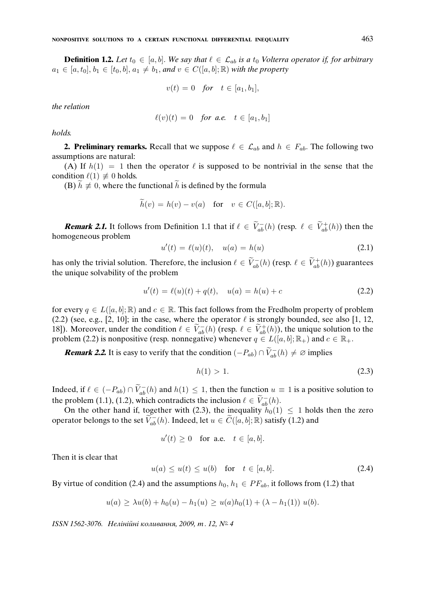**Definition 1.2.** *Let*  $t_0 \in [a, b]$ . *We say that*  $\ell \in \mathcal{L}_{ab}$  *is a*  $t_0$  *Volterra operator if, for arbitrary*  $a_1 \in [a, t_0], b_1 \in [t_0, b], a_1 \neq b_1$ , and  $v \in C([a, b]; \mathbb{R})$  with the property

$$
v(t) = 0 \quad \text{for} \quad t \in [a_1, b_1],
$$

*the relation*

$$
\ell(v)(t) = 0 \quad \text{for a.e.} \quad t \in [a_1, b_1]
$$

*holds.*

**2. Preliminary remarks.** Recall that we suppose  $\ell \in \mathcal{L}_{ab}$  and  $h \in F_{ab}$ . The following two assumptions are natural:

(A) If  $h(1) = 1$  then the operator  $\ell$  is supposed to be nontrivial in the sense that the condition  $\ell(1) \not\equiv 0$  holds.

(B)  $\tilde{h} \neq 0$ , where the functional  $\tilde{h}$  is defined by the formula

$$
\widetilde{h}(v) = h(v) - v(a) \quad \text{for} \quad v \in C([a, b]; \mathbb{R}).
$$

**Remark 2.1.** It follows from Definition 1.1 that if  $\ell \in \widetilde{V}_{ab}^{-}(h)$  (resp.  $\ell \in \widetilde{V}_{ab}^{+}(h)$ ) then the homogeneous problem

$$
u'(t) = \ell(u)(t), \quad u(a) = h(u) \tag{2.1}
$$

has only the trivial solution. Therefore, the inclusion  $\ell \in \widetilde{V}_{ab}^{-}(h)$  (resp.  $\ell \in \widetilde{V}_{ab}^{+}(h)$ ) guarantees the unique solvability of the problem

$$
u'(t) = \ell(u)(t) + q(t), \quad u(a) = h(u) + c \tag{2.2}
$$

for every  $q \in L([a, b]; \mathbb{R})$  and  $c \in \mathbb{R}$ . This fact follows from the Fredholm property of problem (2.2) (see, e.g., [2, 10]; in the case, where the operator  $\ell$  is strongly bounded, see also [1, 12, 18]). Moreover, under the condition  $\ell \in \widetilde{V}_{ab}^{-}(h)$  (resp.  $\ell \in \widetilde{V}_{ab}^{+}(h)$ ), the unique solution to the problem (2.2) is nonpositive (resp. nonnegative) whenever  $q \in L([a, b]; \mathbb{R}_{+})$  and  $c \in \mathbb{R}_{+}$ .

**Remark 2.2.** It is easy to verify that the condition  $(-P_{ab}) \cap \widetilde{V}_{ab}^{-}(h) \neq \emptyset$  implies

$$
h(1) > 1.
$$
 (2.3)

Indeed, if  $\ell \in (-P_{ab}) \cap \widetilde{V}_{ab}^{-}(h)$  and  $h(1) \leq 1$ , then the function  $u \equiv 1$  is a positive solution to the problem (1.1), (1.2), which contradicts the inclusion  $\ell \in \widetilde{V}_{ab}^-(h)$ .

On the other hand if, together with (2.3), the inequality  $h_0(1) \leq 1$  holds then the zero operator belongs to the set  $\widetilde{V}_{ab}(h)$ . Indeed, let  $u \in \widetilde{C}([a, b]; \mathbb{R})$  satisfy (1.2) and

$$
u'(t) \ge 0 \quad \text{for a.e.} \quad t \in [a, b].
$$

Then it is clear that

$$
u(a) \le u(t) \le u(b) \quad \text{for} \quad t \in [a, b]. \tag{2.4}
$$

By virtue of condition (2.4) and the assumptions  $h_0, h_1 \in PF_{ab}$ , it follows from (1.2) that

$$
u(a) \geq \lambda u(b) + h_0(u) - h_1(u) \geq u(a)h_0(1) + (\lambda - h_1(1)) u(b).
$$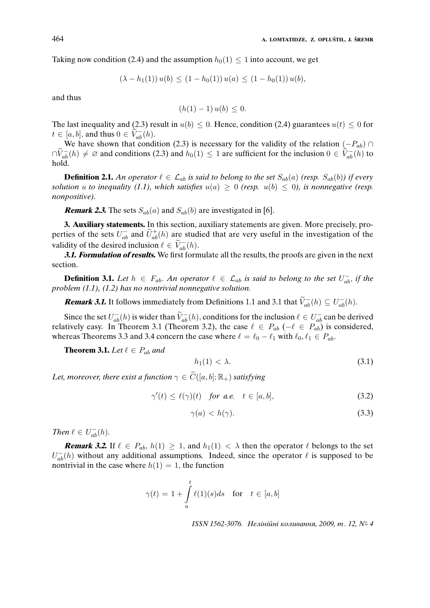Taking now condition (2.4) and the assumption  $h_0(1) \leq 1$  into account, we get

$$
(\lambda - h_1(1)) u(b) \le (1 - h_0(1)) u(a) \le (1 - h_0(1)) u(b),
$$

and thus

$$
(h(1) - 1) u(b) \leq 0.
$$

The last inequality and (2.3) result in  $u(b) \le 0$ . Hence, condition (2.4) guarantees  $u(t) \le 0$  for  $t \in [a, b]$ , and thus  $0 \in \widetilde{V}_{ab}^{-}(h)$ .

We have shown that condition (2.3) is necessary for the validity of the relation  $(-P_{ab}) \cap$  $\bigcap \widetilde{V}_{ab}^{-}(h) \neq \emptyset$  and conditions (2.3) and  $h_0(1) \leq 1$  are sufficient for the inclusion  $0 \in \widetilde{V}_{ab}^{-}(h)$  to hold.

**Definition 2.1.** An operator  $\ell \in \mathcal{L}_{ab}$  is said to belong to the set  $S_{ab}(a)$  (resp.  $S_{ab}(b)$ ) if every *solution u to inequality* (1.1), which satisfies  $u(a) \geq 0$  (resp.  $u(b) \leq 0$ ), is nonnegative (resp. *nonpositive).*

**Remark 2.3.** The sets  $S_{ab}(a)$  and  $S_{ab}(b)$  are investigated in [6].

**3. Auxiliary statements.** In this section, auxiliary statements are given. More precisely, properties of the sets  $U_{ab}^-$  and  $\tilde{U}_{ab}^+(h)$  are studied that are very useful in the investigation of the validity of the desired inclusion  $\ell \in \widetilde{V}_{ab}^{-}(h)$ .

**3.1. Formulation of results.** We first formulate all the results, the proofs are given in the next section.

**Definition 3.1.** Let  $h \in F_{ab}$ . An operator  $\ell \in \mathcal{L}_{ab}$  is said to belong to the set  $U_{ab}^-$ , if the *problem (1.1), (1.2) has no nontrivial nonnegative solution.*

**Remark 3.1.** It follows immediately from Definitions 1.1 and 3.1 that  $\widetilde{V}_{ab}^{-}(h) \subseteq U_{ab}^{-}(h)$ .

Since the set  $U_{ab}^{-}(h)$  is wider than  $\widetilde{V}_{ab}^{-}(h)$ , conditions for the inclusion  $\ell \in U_{ab}^{-}$  can be derived relatively easy. In Theorem 3.1 (Theorem 3.2), the case  $\ell \in P_{ab}$  (− $\ell \in P_{ab}$ ) is considered, whereas Theorems 3.3 and 3.4 concern the case where  $\ell = \ell_0 - \ell_1$  with  $\ell_0, \ell_1 \in P_{ab}$ .

**Theorem 3.1.** *Let*  $\ell \in P_{ab}$  *and* 

$$
h_1(1) < \lambda. \tag{3.1}
$$

*Let, moreover, there exist a function*  $\gamma \in \widetilde{C}([a, b]; \mathbb{R}_{+})$  *satisfying* 

$$
\gamma'(t) \le \ell(\gamma)(t) \quad \text{for a.e.} \quad t \in [a, b], \tag{3.2}
$$

$$
\gamma(a) < h(\gamma). \tag{3.3}
$$

*Then*  $\ell \in U_{ab}^{-}(h)$ .

**Remark 3.2.** If  $\ell \in P_{ab}$ ,  $h(1) \geq 1$ , and  $h_1(1) < \lambda$  then the operator  $\ell$  belongs to the set  $U_{ab}^{-}(h)$  without any additional assumptions. Indeed, since the operator  $\ell$  is supposed to be nontrivial in the case where  $h(1) = 1$ , the function

$$
\gamma(t) = 1 + \int_{a}^{t} \ell(1)(s)ds \quad \text{for} \quad t \in [a, b]
$$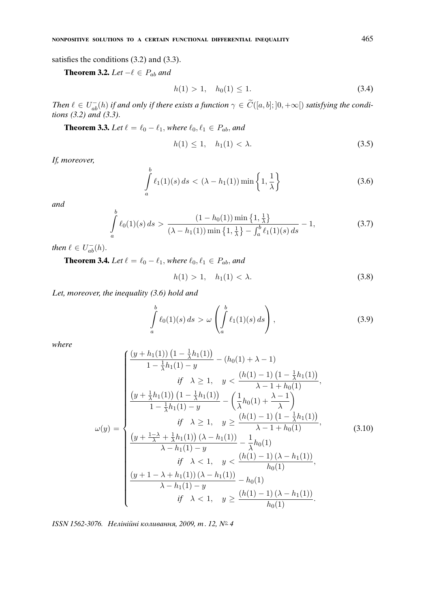satisfies the conditions (3.2) and (3.3).

**Theorem 3.2.** *Let*  $-\ell \in P_{ab}$  *and* 

$$
h(1) > 1, \quad h_0(1) \le 1. \tag{3.4}
$$

*Then*  $\ell \in U_{ab}^{-}(h)$  *if and only if there exists a function*  $\gamma \in \widetilde{C}([a, b]; [0, +\infty[)$  *satisfying the conditions (3.2) and (3.3).*

**Theorem 3.3.** *Let*  $\ell = \ell_0 - \ell_1$ *, where*  $\ell_0, \ell_1 \in P_{ab}$ *, and* 

$$
h(1) \le 1, \quad h_1(1) < \lambda. \tag{3.5}
$$

*If, moreover,*

$$
\int_{a}^{b} \ell_1(1)(s) ds < (\lambda - h_1(1)) \min\left\{1, \frac{1}{\lambda}\right\}
$$
\n(3.6)

*and*

$$
\int_{a}^{b} \ell_{0}(1)(s) ds > \frac{(1 - h_{0}(1)) \min\left\{1, \frac{1}{\lambda}\right\}}{(\lambda - h_{1}(1)) \min\left\{1, \frac{1}{\lambda}\right\} - \int_{a}^{b} \ell_{1}(1)(s) ds} - 1,
$$
\n(3.7)

*then*  $\ell \in U_{ab}^{-}(h)$ .

**Theorem 3.4.** *Let*  $\ell = \ell_0 - \ell_1$ *, where*  $\ell_0, \ell_1 \in P_{ab}$ *, and* 

$$
h(1) > 1, \quad h_1(1) < \lambda. \tag{3.8}
$$

*Let, moreover, the inequality (3.6) hold and*

$$
\int_{a}^{b} \ell_0(1)(s) ds > \omega \left( \int_{a}^{b} \ell_1(1)(s) ds \right), \tag{3.9}
$$

*where*

$$
\omega(y) = \begin{cases}\n\frac{(y+h_1(1)) (1 - \frac{1}{\lambda}h_1(1))}{1 - \frac{1}{\lambda}h_1(1) - y} - (h_0(1) + \lambda - 1) \\
\qquad \qquad \text{if } \lambda \ge 1, \quad y < \frac{(h(1) - 1) (1 - \frac{1}{\lambda}h_1(1))}{\lambda - 1 + h_0(1)}, \\
\frac{(y + \frac{1}{\lambda}h_1(1)) (1 - \frac{1}{\lambda}h_1(1))}{1 - \frac{1}{\lambda}h_1(1) - y} - \left(\frac{1}{\lambda}h_0(1) + \frac{\lambda - 1}{\lambda}\right) \\
\qquad \qquad \text{if } \lambda \ge 1, \quad y \ge \frac{(h(1) - 1) (1 - \frac{1}{\lambda}h_1(1))}{\lambda - 1 + h_0(1)}, \\
\frac{(y + \frac{1 - \lambda}{\lambda} + \frac{1}{\lambda}h_1(1)) (\lambda - h_1(1))}{\lambda - h_1(1) - y} - \frac{1}{\lambda}h_0(1) \\
\qquad \qquad \text{if } \lambda < 1, \quad y < \frac{(h(1) - 1)(\lambda - h_1(1))}{h_0(1)}, \\
\frac{(y + 1 - \lambda + h_1(1)) (\lambda - h_1(1))}{\lambda - h_1(1) - y} - h_0(1) \\
\qquad \qquad \text{if } \lambda < 1, \quad y \ge \frac{(h(1) - 1)(\lambda - h_1(1))}{h_0(1)}.\n\end{cases} (3.10)
$$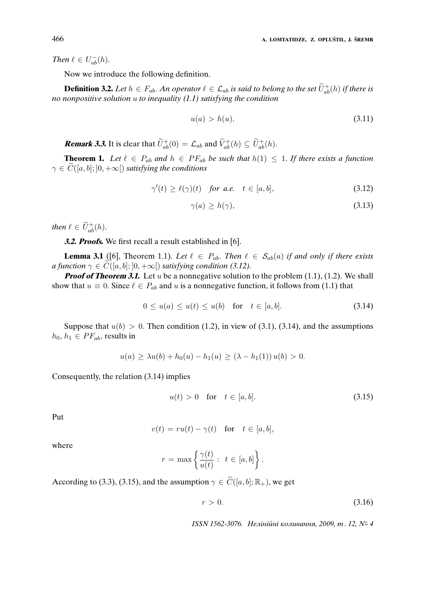*Then*  $\ell \in U_{ab}^{-}(h)$ .

Now we introduce the following definition.

**Definition 3.2.** Let  $h \in F_{ab}$ . An operator  $\ell \in \mathcal{L}_{ab}$  is said to belong to the set  $\widetilde{U}_{ab}^{+}(h)$  if there is *no nonpositive solution* u *to inequality (1.1) satisfying the condition*

$$
u(a) > h(u). \tag{3.11}
$$

**Remark 3.3.** It is clear that  $\widetilde{U}_{ab}^{+}(0) = \mathcal{L}_{ab}$  and  $\widetilde{V}_{ab}^{+}(h) \subseteq \widetilde{U}_{ab}^{+}(h)$ .

**Theorem 1.** Let  $\ell \in P_{ab}$  and  $h \in PF_{ab}$  be such that  $h(1) \leq 1$ . If there exists a function  $\gamma \in C([a, b]; [0, +\infty[)$  *satisfying the conditions* 

$$
\gamma'(t) \ge \ell(\gamma)(t) \quad \text{for a.e.} \quad t \in [a, b], \tag{3.12}
$$

$$
\gamma(a) \ge h(\gamma),\tag{3.13}
$$

*then*  $\ell \in \widetilde{U}_{ab}^{+}(h)$ .

**3.2. Proofs.** We first recall a result established in [6].

**Lemma 3.1** ([6], Theorem 1.1). Let  $\ell \in P_{ab}$ . Then  $\ell \in S_{ab}(a)$  if and only if there exists *a function*  $\gamma \in \overline{C}([a, b]; [0, +\infty[)$  *satisfying condition (3.12).* 

**Proof of Theorem 3.1.** Let u be a nonnegative solution to the problem  $(1.1)$ ,  $(1.2)$ . We shall show that  $u \equiv 0$ . Since  $\ell \in P_{ab}$  and u is a nonnegative function, it follows from (1.1) that

$$
0 \le u(a) \le u(t) \le u(b) \quad \text{for} \quad t \in [a, b]. \tag{3.14}
$$

Suppose that  $u(b) > 0$ . Then condition (1.2), in view of (3.1), (3.14), and the assumptions  $h_0, h_1 \in PF_{ab}$ , results in

$$
u(a) \geq \lambda u(b) + h_0(u) - h_1(u) \geq (\lambda - h_1(1)) u(b) > 0.
$$

Consequently, the relation (3.14) implies

$$
u(t) > 0 \quad \text{for} \quad t \in [a, b]. \tag{3.15}
$$

Put

$$
v(t) = ru(t) - \gamma(t) \quad \text{for} \quad t \in [a, b],
$$

where

$$
r = \max \left\{ \frac{\gamma(t)}{u(t)} : t \in [a, b] \right\}.
$$

According to (3.3), (3.15), and the assumption  $\gamma \in \widetilde{C}([a, b]; \mathbb{R}_+)$ , we get

$$
r > 0. \tag{3.16}
$$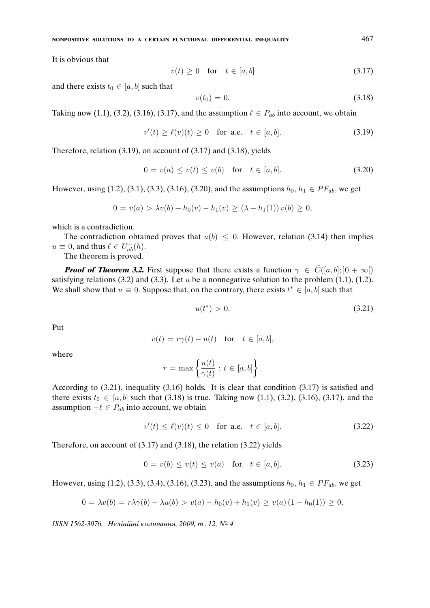It is obvious that

$$
v(t) \ge 0 \quad \text{for} \quad t \in [a, b] \tag{3.17}
$$

and there exists  $t_0 \in [a, b]$  such that

$$
v(t_0) = 0. \t\t(3.18)
$$

Taking now (1.1), (3.2), (3.16), (3.17), and the assumption  $\ell \in P_{ab}$  into account, we obtain

$$
v'(t) \ge \ell(v)(t) \ge 0 \quad \text{for a.e.} \quad t \in [a, b]. \tag{3.19}
$$

Therefore, relation (3.19), on account of (3.17) and (3.18), yields

$$
0 = v(a) \le v(t) \le v(b) \quad \text{for} \quad t \in [a, b]. \tag{3.20}
$$

However, using (1.2), (3.1), (3.3), (3.16), (3.20), and the assumptions  $h_0, h_1 \in PF_{ab}$ , we get

$$
0 = v(a) > \lambda v(b) + h_0(v) - h_1(v) \ge (\lambda - h_1(1)) v(b) \ge 0,
$$

which is a contradiction.

The contradiction obtained proves that  $u(b) \leq 0$ . However, relation (3.14) then implies  $u \equiv 0$ , and thus  $\ell \in U_{ab}^{-}(h)$ .

The theorem is proved.

**Proof of Theorem 3.2.** First suppose that there exists a function  $\gamma \in \widetilde{C}([a, b]; [0 + \infty])$ satisfying relations (3.2) and (3.3). Let  $u$  be a nonnegative solution to the problem (1.1), (1.2). We shall show that  $u \equiv 0$ . Suppose that, on the contrary, there exists  $t^* \in [a, b]$  such that

$$
u(t^*) > 0. \t\t(3.21)
$$

Put

$$
v(t) = r\gamma(t) - u(t) \quad \text{for} \quad t \in [a, b],
$$

where

$$
r = \max \left\{ \frac{u(t)}{\gamma(t)} : t \in [a, b] \right\}.
$$

According to (3.21), inequality (3.16) holds. It is clear that condition (3.17) is satisfied and there exists  $t_0 \in [a, b]$  such that (3.18) is true. Taking now (1.1), (3.2), (3.16), (3.17), and the assumption  $-\ell \in P_{ab}$  into account, we obtain

$$
v'(t) \le \ell(v)(t) \le 0 \quad \text{for a.e.} \quad t \in [a, b]. \tag{3.22}
$$

Therefore, on account of (3.17) and (3.18), the relation (3.22) yields

$$
0 = v(b) \le v(t) \le v(a) \quad \text{for} \quad t \in [a, b]. \tag{3.23}
$$

However, using (1.2), (3.3), (3.4), (3.16), (3.23), and the assumptions  $h_0, h_1 \in PF_{ab}$ , we get

$$
0 = \lambda v(b) = r\lambda \gamma(b) - \lambda u(b) > v(a) - h_0(v) + h_1(v) \ge v(a) (1 - h_0(1)) \ge 0,
$$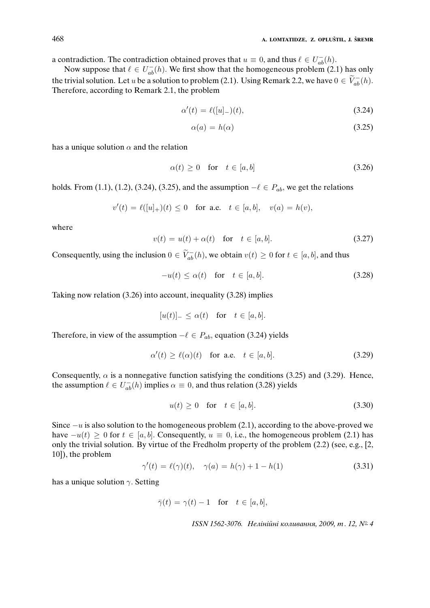a contradiction. The contradiction obtained proves that  $u \equiv 0$ , and thus  $\ell \in U_{ab}^{-}(h)$ .

Now suppose that  $\ell \in U^-_{ab}(h)$ . We first show that the homogeneous problem (2.1) has only the trivial solution. Let u be a solution to problem (2.1). Using Remark 2.2, we have  $0 \in \widetilde{V}_{ab}^{-}(h)$ . Therefore, according to Remark 2.1, the problem

$$
\alpha'(t) = \ell([u]_-(t),\tag{3.24}
$$

$$
\alpha(a) = h(\alpha) \tag{3.25}
$$

has a unique solution  $\alpha$  and the relation

$$
\alpha(t) \ge 0 \quad \text{for} \quad t \in [a, b] \tag{3.26}
$$

holds. From (1.1), (1.2), (3.24), (3.25), and the assumption  $-\ell \in P_{ab}$ , we get the relations

$$
v'(t) = \ell([u]_+)(t) \le 0 \quad \text{for a.e.} \quad t \in [a, b], \quad v(a) = h(v),
$$

where

$$
v(t) = u(t) + \alpha(t) \quad \text{for} \quad t \in [a, b]. \tag{3.27}
$$

Consequently, using the inclusion  $0 \in \widetilde{V}_{ab}^{-}(h)$ , we obtain  $v(t) \ge 0$  for  $t \in [a, b]$ , and thus

$$
-u(t) \le \alpha(t) \quad \text{for} \quad t \in [a, b]. \tag{3.28}
$$

Taking now relation (3.26) into account, inequality (3.28) implies

$$
[u(t)]_{-} \leq \alpha(t) \quad \text{for} \quad t \in [a, b].
$$

Therefore, in view of the assumption  $-\ell \in P_{ab}$ , equation (3.24) yields

$$
\alpha'(t) \ge \ell(\alpha)(t) \quad \text{for a.e.} \quad t \in [a, b]. \tag{3.29}
$$

Consequently,  $\alpha$  is a nonnegative function satisfying the conditions (3.25) and (3.29). Hence, the assumption  $\ell \in U_{ab}^{-}(h)$  implies  $\alpha \equiv 0$ , and thus relation (3.28) yields

$$
u(t) \ge 0 \quad \text{for} \quad t \in [a, b]. \tag{3.30}
$$

Since  $-u$  is also solution to the homogeneous problem (2.1), according to the above-proved we have  $-u(t) > 0$  for  $t \in [a, b]$ . Consequently,  $u \equiv 0$ , i.e., the homogeneous problem (2.1) has only the trivial solution. By virtue of the Fredholm property of the problem (2.2) (see, e.g., [2, 10]), the problem

$$
\gamma'(t) = \ell(\gamma)(t), \quad \gamma(a) = h(\gamma) + 1 - h(1) \tag{3.31}
$$

has a unique solution  $\gamma$ . Setting

$$
\bar{\gamma}(t) = \gamma(t) - 1 \quad \text{for} \quad t \in [a, b],
$$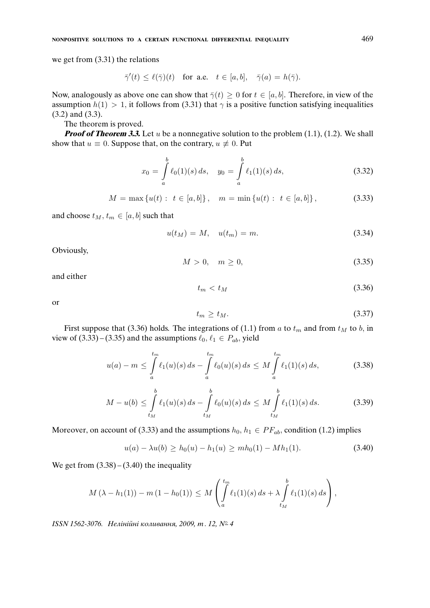we get from (3.31) the relations

$$
\bar\gamma'(t)\leq \ell(\bar\gamma)(t) \quad \text{for a.e.}\quad t\in [a,b], \quad \bar\gamma(a)=h(\bar\gamma).
$$

Now, analogously as above one can show that  $\bar{\gamma}(t) \geq 0$  for  $t \in [a, b]$ . Therefore, in view of the assumption  $h(1) > 1$ , it follows from (3.31) that  $\gamma$  is a positive function satisfying inequalities (3.2) and (3.3).

The theorem is proved.

**Proof of Theorem 3.3.** Let  $u$  be a nonnegative solution to the problem  $(1.1)$ ,  $(1.2)$ . We shall show that  $u \equiv 0$ . Suppose that, on the contrary,  $u \not\equiv 0$ . Put

$$
x_0 = \int_a^b \ell_0(1)(s) \, ds, \quad y_0 = \int_a^b \ell_1(1)(s) \, ds,\tag{3.32}
$$

$$
M = \max\left\{u(t): t \in [a, b]\right\}, \quad m = \min\left\{u(t): t \in [a, b]\right\},\tag{3.33}
$$

and choose  $t_M$ ,  $t_m \in [a, b]$  such that

$$
u(t_M) = M, \quad u(t_m) = m. \tag{3.34}
$$

Obviously,

$$
M > 0, \quad m \ge 0,\tag{3.35}
$$

and either

$$
t_m < t_M \tag{3.36}
$$

or

$$
t_m \ge t_M. \tag{3.37}
$$

First suppose that (3.36) holds. The integrations of (1.1) from a to  $t_m$  and from  $t_M$  to  $b$ , in view of (3.33) – (3.35) and the assumptions  $\ell_0, \ell_1 \in P_{ab}$ , yield

$$
u(a) - m \le \int_{a}^{t_m} \ell_1(u)(s) \, ds - \int_{a}^{t_m} \ell_0(u)(s) \, ds \le M \int_{a}^{t_m} \ell_1(1)(s) \, ds,\tag{3.38}
$$

$$
M - u(b) \le \int_{t_M}^b \ell_1(u)(s) \, ds - \int_{t_M}^b \ell_0(u)(s) \, ds \le M \int_{t_M}^b \ell_1(1)(s) \, ds. \tag{3.39}
$$

Moreover, on account of (3.33) and the assumptions  $h_0, h_1 \in PF_{ab}$ , condition (1.2) implies

$$
u(a) - \lambda u(b) \ge h_0(u) - h_1(u) \ge mh_0(1) - Mh_1(1). \tag{3.40}
$$

We get from  $(3.38) - (3.40)$  the inequality

$$
M(\lambda - h_1(1)) - m(1 - h_0(1)) \leq M \left( \int_a^{t_m} \ell_1(1)(s) \, ds + \lambda \int_{t_M}^b \ell_1(1)(s) \, ds \right),
$$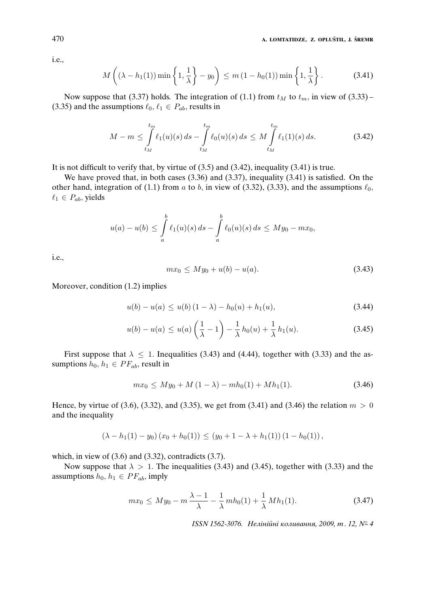i.e.,

$$
M\left((\lambda - h_1(1))\min\left\{1,\frac{1}{\lambda}\right\} - y_0\right) \le m\left(1-h_0(1)\right)\min\left\{1,\frac{1}{\lambda}\right\}.
$$
 (3.41)

Now suppose that (3.37) holds. The integration of (1.1) from  $t_M$  to  $t_m$ , in view of (3.33) – (3.35) and the assumptions  $\ell_0, \ell_1 \in P_{ab}$ , results in

$$
M - m \leq \int_{t_M}^{t_m} \ell_1(u)(s) \, ds - \int_{t_M}^{t_m} \ell_0(u)(s) \, ds \leq M \int_{t_M}^{t_m} \ell_1(1)(s) \, ds. \tag{3.42}
$$

It is not difficult to verify that, by virtue of (3.5) and (3.42), inequality (3.41) is true.

We have proved that, in both cases (3.36) and (3.37), inequality (3.41) is satisfied. On the other hand, integration of (1.1) from a to b, in view of (3.32), (3.33), and the assumptions  $\ell_0$ ,  $\ell_1 \in P_{ab}$ , yields

$$
u(a) - u(b) \le \int_a^b \ell_1(u)(s) \, ds - \int_a^b \ell_0(u)(s) \, ds \le My_0 - mx_0,
$$

i.e.,

$$
mx_0 \le My_0 + u(b) - u(a). \tag{3.43}
$$

Moreover, condition (1.2) implies

$$
u(b) - u(a) \le u(b) (1 - \lambda) - h_0(u) + h_1(u), \tag{3.44}
$$

$$
u(b) - u(a) \le u(a) \left(\frac{1}{\lambda} - 1\right) - \frac{1}{\lambda} h_0(u) + \frac{1}{\lambda} h_1(u).
$$
 (3.45)

First suppose that  $\lambda \leq 1$ . Inequalities (3.43) and (4.44), together with (3.33) and the assumptions  $h_0, h_1 \in PF_{ab}$ , result in

$$
mx_0 \le My_0 + M(1 - \lambda) - mh_0(1) + Mh_1(1). \tag{3.46}
$$

Hence, by virtue of (3.6), (3.32), and (3.35), we get from (3.41) and (3.46) the relation  $m > 0$ and the inequality

$$
(\lambda - h_1(1) - y_0)(x_0 + h_0(1)) \le (y_0 + 1 - \lambda + h_1(1))(1 - h_0(1)),
$$

which, in view of  $(3.6)$  and  $(3.32)$ , contradicts  $(3.7)$ .

Now suppose that  $\lambda > 1$ . The inequalities (3.43) and (3.45), together with (3.33) and the assumptions  $h_0, h_1 \in PF_{ab}$ , imply

$$
mx_0 \le My_0 - m\frac{\lambda - 1}{\lambda} - \frac{1}{\lambda}mh_0(1) + \frac{1}{\lambda}Mh_1(1).
$$
 (3.47)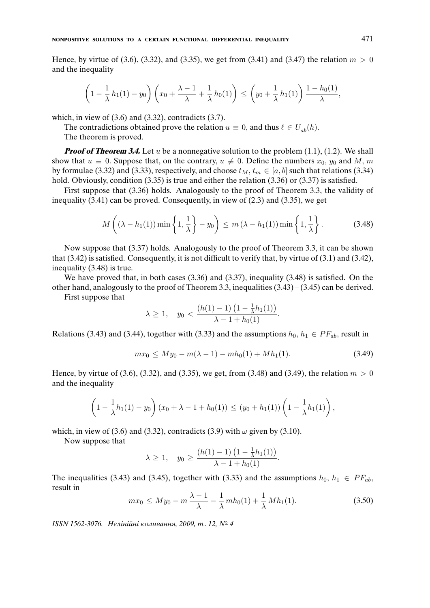Hence, by virtue of (3.6), (3.32), and (3.35), we get from (3.41) and (3.47) the relation  $m > 0$ and the inequality

$$
\left(1-\frac{1}{\lambda}h_1(1)-y_0\right)\left(x_0+\frac{\lambda-1}{\lambda}+\frac{1}{\lambda}h_0(1)\right)\leq \left(y_0+\frac{1}{\lambda}h_1(1)\right)\frac{1-h_0(1)}{\lambda},
$$

which, in view of  $(3.6)$  and  $(3.32)$ , contradicts  $(3.7)$ .

The contradictions obtained prove the relation  $u \equiv 0$ , and thus  $\ell \in U_{ab}^-(h)$ .

The theorem is proved.

**Proof of Theorem 3.4.** Let u be a nonnegative solution to the problem (1.1), (1.2). We shall show that  $u \equiv 0$ . Suppose that, on the contrary,  $u \not\equiv 0$ . Define the numbers  $x_0, y_0$  and M, m by formulae (3.32) and (3.33), respectively, and choose  $t_M$ ,  $t_m \in [a, b]$  such that relations (3.34) hold. Obviously, condition (3.35) is true and either the relation (3.36) or (3.37) is satisfied.

First suppose that (3.36) holds. Analogously to the proof of Theorem 3.3, the validity of inequality  $(3.41)$  can be proved. Consequently, in view of  $(2.3)$  and  $(3.35)$ , we get

$$
M\left((\lambda - h_1(1))\min\left\{1,\frac{1}{\lambda}\right\} - y_0\right) \le m\left(\lambda - h_1(1)\right)\min\left\{1,\frac{1}{\lambda}\right\}.
$$
 (3.48)

Now suppose that (3.37) holds. Analogously to the proof of Theorem 3.3, it can be shown that (3.42) is satisfied. Consequently, it is not difficult to verify that, by virtue of (3.1) and (3.42), inequality (3.48) is true.

We have proved that, in both cases (3.36) and (3.37), inequality (3.48) is satisfied. On the other hand, analogously to the proof of Theorem 3.3, inequalities (3.43) – (3.45) can be derived.

First suppose that

$$
\lambda \ge 1, \quad y_0 < \frac{(h(1)-1)\left(1 - \frac{1}{\lambda}h_1(1)\right)}{\lambda - 1 + h_0(1)}.
$$

Relations (3.43) and (3.44), together with (3.33) and the assumptions  $h_0, h_1 \in PF_{ab}$ , result in

$$
mx_0 \le My_0 - m(\lambda - 1) - mh_0(1) + Mh_1(1). \tag{3.49}
$$

Hence, by virtue of (3.6), (3.32), and (3.35), we get, from (3.48) and (3.49), the relation  $m > 0$ and the inequality

$$
\left(1 - \frac{1}{\lambda}h_1(1) - y_0\right)(x_0 + \lambda - 1 + h_0(1)) \le (y_0 + h_1(1))\left(1 - \frac{1}{\lambda}h_1(1)\right),
$$

which, in view of (3.6) and (3.32), contradicts (3.9) with  $\omega$  given by (3.10).

Now suppose that

$$
\lambda \ge 1, \quad y_0 \ge \frac{(h(1)-1)\left(1 - \frac{1}{\lambda}h_1(1)\right)}{\lambda - 1 + h_0(1)}.
$$

The inequalities (3.43) and (3.45), together with (3.33) and the assumptions  $h_0, h_1 \in PF_{ab}$ , result in

$$
mx_0 \le My_0 - m\frac{\lambda - 1}{\lambda} - \frac{1}{\lambda}mh_0(1) + \frac{1}{\lambda}Mh_1(1). \tag{3.50}
$$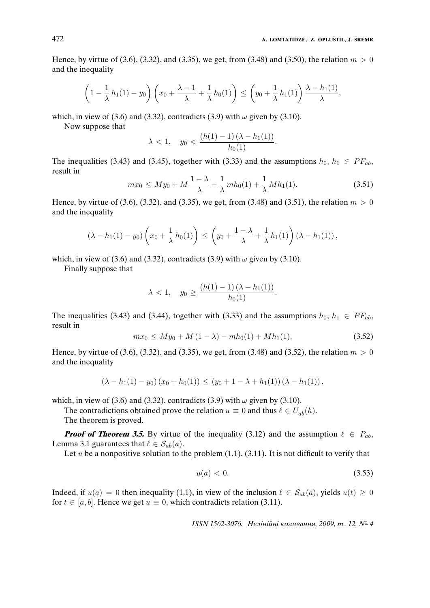Hence, by virtue of (3.6), (3.32), and (3.35), we get, from (3.48) and (3.50), the relation  $m > 0$ and the inequality

$$
\left(1-\frac{1}{\lambda}h_1(1)-y_0\right)\left(x_0+\frac{\lambda-1}{\lambda}+\frac{1}{\lambda}h_0(1)\right)\leq \left(y_0+\frac{1}{\lambda}h_1(1)\right)\frac{\lambda-h_1(1)}{\lambda},
$$

which, in view of (3.6) and (3.32), contradicts (3.9) with  $\omega$  given by (3.10).

Now suppose that

$$
\lambda < 1, \quad y_0 < \frac{(h(1) - 1) (\lambda - h_1(1))}{h_0(1)}.
$$

The inequalities (3.43) and (3.45), together with (3.33) and the assumptions  $h_0$ ,  $h_1 \in PF_{ab}$ , result in

$$
mx_0 \le My_0 + M\frac{1-\lambda}{\lambda} - \frac{1}{\lambda}mh_0(1) + \frac{1}{\lambda}Mh_1(1). \tag{3.51}
$$

Hence, by virtue of (3.6), (3.32), and (3.35), we get, from (3.48) and (3.51), the relation  $m > 0$ and the inequality

$$
(\lambda - h_1(1) - y_0) \left( x_0 + \frac{1}{\lambda} h_0(1) \right) \le \left( y_0 + \frac{1 - \lambda}{\lambda} + \frac{1}{\lambda} h_1(1) \right) (\lambda - h_1(1)),
$$

which, in view of (3.6) and (3.32), contradicts (3.9) with  $\omega$  given by (3.10).

Finally suppose that

$$
\lambda < 1, \quad y_0 \ge \frac{(h(1) - 1)(\lambda - h_1(1))}{h_0(1)}.
$$

The inequalities (3.43) and (3.44), together with (3.33) and the assumptions  $h_0, h_1 \in PF_{ab}$ , result in

$$
mx_0 \le My_0 + M(1 - \lambda) - mh_0(1) + Mh_1(1). \tag{3.52}
$$

Hence, by virtue of (3.6), (3.32), and (3.35), we get, from (3.48) and (3.52), the relation  $m > 0$ and the inequality

$$
(\lambda - h_1(1) - y_0) (x_0 + h_0(1)) \le (y_0 + 1 - \lambda + h_1(1)) (\lambda - h_1(1)),
$$

which, in view of (3.6) and (3.32), contradicts (3.9) with  $\omega$  given by (3.10).

The contradictions obtained prove the relation  $u \equiv 0$  and thus  $\ell \in U_{ab}^{-}(h)$ .

The theorem is proved.

**Proof of Theorem 3.5.** By virtue of the inequality (3.12) and the assumption  $\ell \in P_{ab}$ , Lemma 3.1 guarantees that  $\ell \in S_{ab}(a)$ .

Let u be a nonpositive solution to the problem  $(1.1)$ ,  $(3.11)$ . It is not difficult to verify that

$$
u(a) < 0. \tag{3.53}
$$

Indeed, if  $u(a) = 0$  then inequality (1.1), in view of the inclusion  $\ell \in S_{ab}(a)$ , yields  $u(t) \ge 0$ for  $t \in [a, b]$ . Hence we get  $u \equiv 0$ , which contradicts relation (3.11).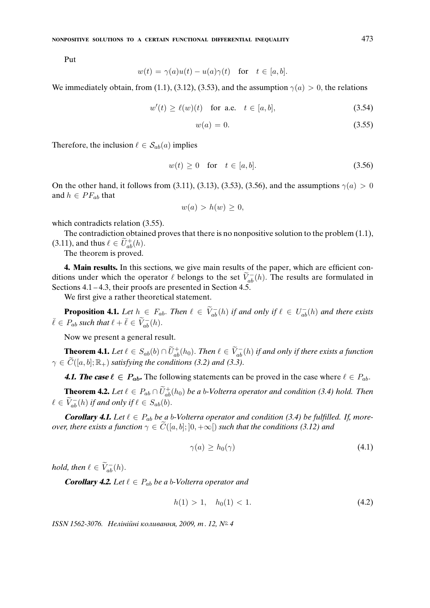Put

$$
w(t) = \gamma(a)u(t) - u(a)\gamma(t) \quad \text{for} \quad t \in [a, b].
$$

We immediately obtain, from (1.1), (3.12), (3.53), and the assumption  $\gamma(a) > 0$ , the relations

$$
w'(t) \ge \ell(w)(t) \quad \text{for a.e.} \quad t \in [a, b], \tag{3.54}
$$

$$
w(a) = 0.\tag{3.55}
$$

Therefore, the inclusion  $\ell \in S_{ab}(a)$  implies

$$
w(t) \ge 0 \quad \text{for} \quad t \in [a, b]. \tag{3.56}
$$

On the other hand, it follows from (3.11), (3.13), (3.53), (3.56), and the assumptions  $\gamma(a) > 0$ and  $h \in PF_{ab}$  that

$$
w(a) > h(w) \geq 0,
$$

which contradicts relation  $(3.55)$ .

The contradiction obtained proves that there is no nonpositive solution to the problem (1.1), (3.11), and thus  $\ell \in \widetilde{U}^+_{ab}(h)$ .

The theorem is proved.

**4. Main results.** In this sections, we give main results of the paper, which are efficient conditions under which the operator  $\ell$  belongs to the set  $\tilde{V}_{ab}^-(h)$ . The results are formulated in Sections 4.1 – 4.3, their proofs are presented in Section 4.5.

We first give a rather theoretical statement.

**Proposition 4.1.** Let  $h \in F_{ab}$ . Then  $\ell \in \widetilde{V}_{ab}^{-}(h)$  if and only if  $\ell \in U_{ab}^{-}(h)$  and there exists  $\bar{\ell} \in P_{ab}$  *such that*  $\ell + \bar{\ell} \in \widetilde{V}_{ab}^{-}(h)$ .

Now we present a general result.

**Theorem 4.1.** *Let*  $\ell \in S_{ab}(b) \cap \widetilde{U}_{ab}^{+}(h_0)$ . *Then*  $\ell \in \widetilde{V}_{ab}^{-}(h)$  *if and only if there exists a function*  $\gamma \in \widetilde{C}([a, b]; \mathbb{R}_+)$  *satisfying the conditions (3.2) and (3.3).* 

**4.1. The case**  $\ell \in P_{ab}$ . The following statements can be proved in the case where  $\ell \in P_{ab}$ .

**Theorem 4.2.** Let  $\ell \in P_{ab} \cap \widetilde{U}_{ab}^{+}(h_0)$  be a b-Volterra operator and condition (3.4) hold. Then  $\ell \in \widetilde{V}_{ab}^{-}(h)$  *if and only if*  $\ell \in S_{ab}(b)$ .

**Corollary 4.1.** Let  $\ell \in P_{ab}$  be a b-Volterra operator and condition (3.4) be fulfilled. If, more*over, there exists a function*  $\gamma \in C([a, b]; [0, +\infty])$  *such that the conditions (3.12) and* 

$$
\gamma(a) \ge h_0(\gamma) \tag{4.1}
$$

*hold, then*  $\ell \in \widetilde{V}_{ab}^{-}(h)$ .

**Corollary 4.2.** Let  $\ell \in P_{ab}$  be a b-Volterra operator and

$$
h(1) > 1, \quad h_0(1) < 1. \tag{4.2}
$$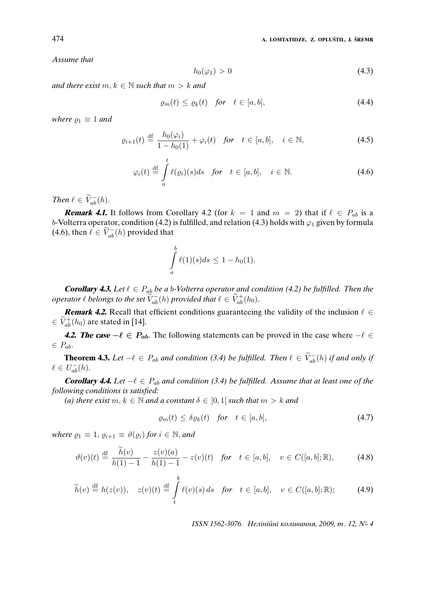*Assume that*

$$
h_0(\varphi_1) > 0 \tag{4.3}
$$

*and there exist*  $m, k \in \mathbb{N}$  *such that*  $m > k$  *and* 

$$
\varrho_m(t) \le \varrho_k(t) \quad \text{for} \quad t \in [a, b], \tag{4.4}
$$

*where*  $\rho_1 \equiv 1$  *and* 

$$
\varrho_{i+1}(t) \stackrel{\text{df}}{=} \frac{h_0(\varphi_i)}{1 - h_0(1)} + \varphi_i(t) \quad \text{for} \quad t \in [a, b], \quad i \in \mathbb{N}, \tag{4.5}
$$

$$
\varphi_i(t) \stackrel{\text{df}}{=} \int_a^t \ell(\varrho_i)(s)ds \quad \text{for} \quad t \in [a, b], \quad i \in \mathbb{N}.
$$

*Then*  $\ell \in \widetilde{V}_{ab}^{-}(h)$ .

**Remark 4.1.** It follows from Corollary 4.2 (for  $k = 1$  and  $m = 2$ ) that if  $\ell \in P_{ab}$  is a b-Volterra operator, condition (4.2) is fulfilled, and relation (4.3) holds with  $\varphi_1$  given by formula (4.6), then  $\ell \in \widetilde{V}_{ab}^{-}(h)$  provided that

$$
\int_{a}^{b} \ell(1)(s)ds \le 1 - h_0(1).
$$

**Corollary 4.3.** Let  $\ell \in P_{ab}$  be a b-Volterra operator and condition (4.2) be fulfilled. Then the *operator*  $\ell$  *belongs to the set*  $\widetilde{V}_{ab}^{-}(h)$  *provided that*  $\ell \in \widetilde{V}_{ab}^{+}(h_0)$ *.* 

**Remark 4.2.** Recall that efficient conditions guaranteeing the validity of the inclusion  $\ell \in$  $\in \widetilde{V}_{ab}^{+}(h_0)$  are stated in [14].

**4.2. The case**  $-\ell \in P_{ab}$ . The following statements can be proved in the case where  $-\ell \in$  $\in P_{ab}$ .

**Theorem 4.3.** *Let*  $-\ell \in P_{ab}$  *and condition (3.4) be fulfilled. Then*  $\ell \in \widetilde{V}_{ab}^{-}(h)$  *if and only if*  $\ell \in U_{ab}^{-}(h).$ 

**Corollary 4.4.** Let  $-\ell \in P_{ab}$  and condition (3.4) be fulfilled. Assume that at least one of the *following conditions is satisfied:*

*(a) there exist*  $m, k \in \mathbb{N}$  *and a constant*  $\delta \in [0, 1]$  *such that*  $m > k$  *and* 

$$
\varrho_m(t) \le \delta \varrho_k(t) \quad \text{for} \quad t \in [a, b], \tag{4.7}
$$

*where*  $\varrho_1 \equiv 1$ ,  $\varrho_{i+1} \equiv \vartheta(\varrho_i)$  *for*  $i \in \mathbb{N}$ *, and* 

$$
\vartheta(v)(t) \stackrel{\text{df}}{=} \frac{\tilde{h}(v)}{h(1) - 1} - \frac{z(v)(a)}{h(1) - 1} - z(v)(t) \quad \text{for} \quad t \in [a, b], \quad v \in C([a, b]; \mathbb{R}), \tag{4.8}
$$

$$
\widetilde{h}(v) \stackrel{\text{df}}{=} h(z(v)), \quad z(v)(t) \stackrel{\text{df}}{=} \int_{t}^{b} \ell(v)(s) \, ds \quad \text{for} \quad t \in [a, b], \quad v \in C([a, b]; \mathbb{R}); \tag{4.9}
$$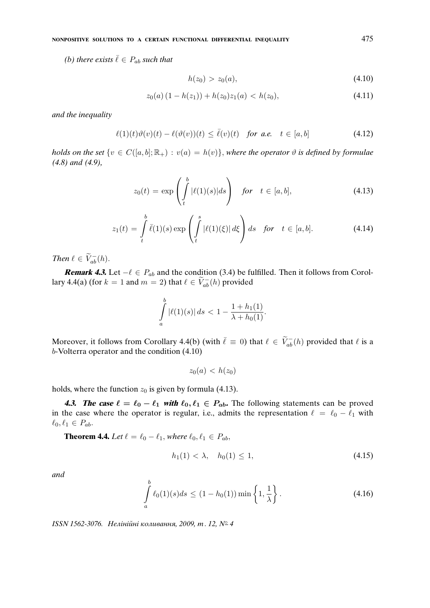*(b) there exists*  $\bar{\ell} \in P_{ab}$  *such that* 

$$
h(z_0) > z_0(a), \tag{4.10}
$$

$$
z_0(a) (1 - h(z_1)) + h(z_0)z_1(a) < h(z_0),\tag{4.11}
$$

*and the inequality*

$$
\ell(1)(t)\vartheta(v)(t) - \ell(\vartheta(v))(t) \leq \bar{\ell}(v)(t) \quad \text{for a.e.} \quad t \in [a, b] \tag{4.12}
$$

*holds on the set*  $\{v \in C([a, b]; \mathbb{R}_+) : v(a) = h(v)\}$ , where the operator  $\vartheta$  *is defined by formulae (4.8) and (4.9),*

$$
z_0(t) = \exp\left(\int_t^b |\ell(1)(s)|ds\right) \quad \text{for} \quad t \in [a, b], \tag{4.13}
$$

$$
z_1(t) = \int\limits_t^b \bar{\ell}(1)(s) \exp\left(\int\limits_t^s |\ell(1)(\xi)| d\xi\right) ds \quad \text{for} \quad t \in [a, b]. \tag{4.14}
$$

*Then*  $\ell \in \widetilde{V}_{ab}^{-}(h)$ .

**Remark 4.3.** Let  $-\ell \in P_{ab}$  and the condition (3.4) be fulfilled. Then it follows from Corollary 4.4(a) (for  $k = 1$  and  $m = 2$ ) that  $\ell \in \widetilde{V}_{ab}^{-}(h)$  provided

$$
\int_{a}^{b} |\ell(1)(s)| ds < 1 - \frac{1 + h_1(1)}{\lambda + h_0(1)}.
$$

Moreover, it follows from Corollary 4.4(b) (with  $\bar{\ell} \equiv 0$ ) that  $\ell \in \tilde{V}_{ab}^{-}(h)$  provided that  $\ell$  is a b-Volterra operator and the condition (4.10)

 $z_0(a) < h(z_0)$ 

holds, where the function  $z_0$  is given by formula (4.13).

**4.3. The case**  $\ell = \ell_0 - \ell_1$  with  $\ell_0, \ell_1 \in P_{ab}$ . The following statements can be proved in the case where the operator is regular, i.e., admits the representation  $\ell = \ell_0 - \ell_1$  with  $\ell_0, \ell_1 \in P_{ab}.$ 

**Theorem 4.4.** *Let*  $\ell = \ell_0 - \ell_1$ *, where*  $\ell_0, \ell_1 \in P_{ab}$ *,* 

$$
h_1(1) < \lambda, \quad h_0(1) \le 1,\tag{4.15}
$$

*and*

$$
\int_{a}^{b} \ell_{0}(1)(s)ds \le (1 - h_{0}(1)) \min\left\{1, \frac{1}{\lambda}\right\}.
$$
\n(4.16)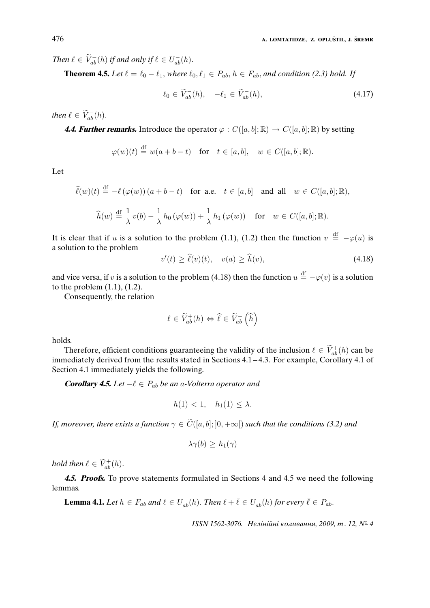*Then*  $\ell \in \widetilde{V}_{ab}^{-}(h)$  *if and only if*  $\ell \in U_{ab}^{-}(h)$ *.* 

**Theorem 4.5.** *Let*  $\ell = \ell_0 - \ell_1$ , *where*  $\ell_0, \ell_1 \in P_{ab}$ ,  $h \in F_{ab}$ , and condition (2.3) hold. If

$$
\ell_0 \in \widetilde{V}_{ab}^-(h), \quad -\ell_1 \in \widetilde{V}_{ab}^-(h), \tag{4.17}
$$

*then*  $\ell \in \widetilde{V}_{ab}^{-}(h)$ .

**4.4. Further remarks.** Introduce the operator  $\varphi : C([a, b]; \mathbb{R}) \to C([a, b]; \mathbb{R})$  by setting

$$
\varphi(w)(t) \stackrel{\text{df}}{=} w(a+b-t) \quad \text{for} \quad t \in [a,b], \quad w \in C([a,b];\mathbb{R}).
$$

Let

$$
\begin{aligned}\n\widehat{\ell}(w)(t) & \stackrel{\text{df}}{=} -\ell(\varphi(w)) \left( a+b-t \right) \quad \text{for a.e.} \quad t \in [a,b] \quad \text{and all} \quad w \in C([a,b];\mathbb{R}), \\
\widehat{h}(w) & \stackrel{\text{df}}{=} \frac{1}{\lambda} v(b) - \frac{1}{\lambda} h_0(\varphi(w)) + \frac{1}{\lambda} h_1(\varphi(w)) \quad \text{for} \quad w \in C([a,b];\mathbb{R}).\n\end{aligned}
$$

It is clear that if u is a solution to the problem (1.1), (1.2) then the function  $v \stackrel{\text{df}}{=} -\varphi(u)$  is a solution to the problem

$$
v'(t) \ge \hat{\ell}(v)(t), \quad v(a) \ge \hat{h}(v), \tag{4.18}
$$

and vice versa, if v is a solution to the problem (4.18) then the function  $u \stackrel{\text{df}}{=} -\varphi(v)$  is a solution to the problem (1.1), (1.2).

Consequently, the relation

$$
\ell \in \widetilde{V}_{ab}^{+}(h) \Leftrightarrow \widehat{\ell} \in \widetilde{V}_{ab}^{-}\left(\widehat{h}\right)
$$

holds.

Therefore, efficient conditions guaranteeing the validity of the inclusion  $\ell \in \widetilde{V}_{ab}^{+}(h)$  can be immediately derived from the results stated in Sections 4.1 – 4.3. For example, Corollary 4.1 of Section 4.1 immediately yields the following.

**Corollary 4.5.** Let  $-\ell \in P_{ab}$  be an a-Volterra operator and

$$
h(1) < 1, \quad h_1(1) \leq \lambda.
$$

*If, moreover, there exists a function*  $\gamma \in \widetilde{C}([a, b]; [0, +\infty])$  *such that the conditions* (3.2) *and* 

$$
\lambda\gamma(b)\geq h_1(\gamma)
$$

*hold then*  $\ell \in \widetilde{V}_{ab}^{+}(h)$ .

**4.5. Proofs.** To prove statements formulated in Sections 4 and 4.5 we need the following lemmas.

**Lemma 4.1.** *Let*  $h \in F_{ab}$  and  $\ell \in U_{ab}^{-}(h)$ . *Then*  $\ell + \overline{\ell} \in U_{ab}^{-}(h)$  *for every*  $\overline{\ell} \in P_{ab}$ .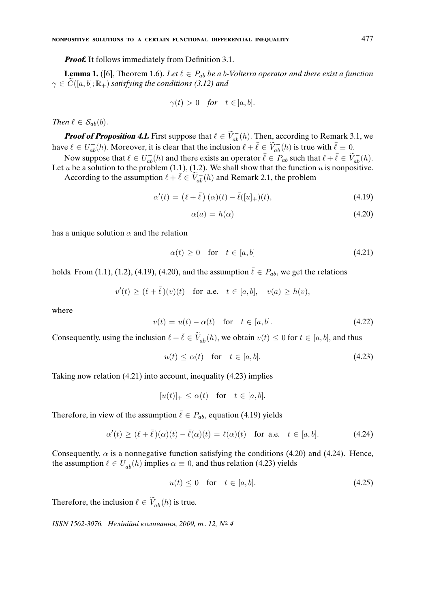*Proof.* It follows immediately from Definition 3.1.

**Lemma 1.** ([6], Theorem 1.6). Let  $\ell \in P_{ab}$  be a b-Volterra operator and there exist a function  $\gamma \in \widetilde{C}([a, b]; \mathbb{R}_+)$  *satisfying the conditions (3.12) and* 

$$
\gamma(t) > 0 \quad \text{for} \quad t \in ]a, b].
$$

*Then*  $\ell \in S_{ab}(b)$ .

**Proof of Proposition 4.1.** First suppose that  $\ell \in \widetilde{V}_{ab}^{-}(h)$ . Then, according to Remark 3.1, we have  $\ell \in U^-_{ab}(h)$ . Moreover, it is clear that the inclusion  $\ell + \bar{\ell} \in \widetilde{V}^-_{ab}(h)$  is true with  $\bar{\ell} \equiv 0$ .

Now suppose that  $\ell \in U_{ab}^-(h)$  and there exists an operator  $\overline{\ell} \in P_{ab}$  such that  $\ell + \overline{\ell} \in \widetilde{V}_{ab}^-(h)$ . Let u be a solution to the problem  $(1.1)$ ,  $(1.2)$ . We shall show that the function u is nonpositive.

According to the assumption  $\ell + \bar{\ell} \in \widetilde{V}_{ab}^{-}(h)$  and Remark 2.1, the problem

$$
\alpha'(t) = (\ell + \bar{\ell}) (\alpha)(t) - \bar{\ell}([u]_+)(t), \qquad (4.19)
$$

$$
\alpha(a) = h(\alpha) \tag{4.20}
$$

has a unique solution  $\alpha$  and the relation

$$
\alpha(t) \ge 0 \quad \text{for} \quad t \in [a, b] \tag{4.21}
$$

holds. From (1.1), (1.2), (4.19), (4.20), and the assumption  $\bar{\ell} \in P_{ab}$ , we get the relations

$$
v'(t) \ge (\ell + \overline{\ell})(v)(t) \quad \text{for a.e.} \quad t \in [a, b], \quad v(a) \ge h(v),
$$

where

$$
v(t) = u(t) - \alpha(t) \quad \text{for} \quad t \in [a, b]. \tag{4.22}
$$

Consequently, using the inclusion  $\ell + \bar{\ell} \in \tilde{V}_{ab}^{-}(h)$ , we obtain  $v(t) \leq 0$  for  $t \in [a, b]$ , and thus

$$
u(t) \le \alpha(t) \quad \text{for} \quad t \in [a, b]. \tag{4.23}
$$

Taking now relation (4.21) into account, inequality (4.23) implies

$$
[u(t)]_+ \le \alpha(t) \quad \text{for} \quad t \in [a, b].
$$

Therefore, in view of the assumption  $\bar{\ell} \in P_{ab}$ , equation (4.19) yields

$$
\alpha'(t) \ge (\ell + \bar{\ell})(\alpha)(t) - \bar{\ell}(\alpha)(t) = \ell(\alpha)(t) \quad \text{for a.e.} \quad t \in [a, b]. \tag{4.24}
$$

Consequently,  $\alpha$  is a nonnegative function satisfying the conditions (4.20) and (4.24). Hence, the assumption  $\ell \in U_{ab}^{-}(h)$  implies  $\alpha \equiv 0$ , and thus relation (4.23) yields

$$
u(t) \le 0 \quad \text{for} \quad t \in [a, b]. \tag{4.25}
$$

Therefore, the inclusion  $\ell \in \widetilde{V}_{ab}^{-}(h)$  is true.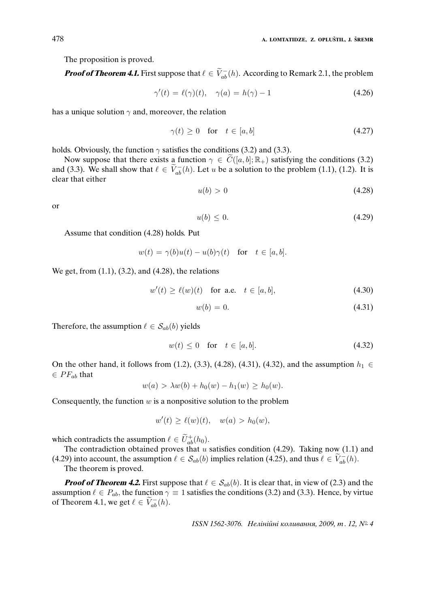The proposition is proved.

**Proof of Theorem 4.1.** First suppose that  $\ell \in \widetilde{V}_{ab}^{-}(h)$ . According to Remark 2.1, the problem

$$
\gamma'(t) = \ell(\gamma)(t), \quad \gamma(a) = h(\gamma) - 1 \tag{4.26}
$$

has a unique solution  $\gamma$  and, moreover, the relation

$$
\gamma(t) \ge 0 \quad \text{for} \quad t \in [a, b] \tag{4.27}
$$

holds. Obviously, the function  $\gamma$  satisfies the conditions (3.2) and (3.3).

Now suppose that there exists a function  $\gamma \in C([a, b]; \mathbb{R}_+)$  satisfying the conditions (3.2) and (3.3). We shall show that  $\ell \in \tilde{V}_{ab}^{-}(h)$ . Let u be a solution to the problem (1.1), (1.2). It is clear that either

$$
u(b) > 0 \tag{4.28}
$$

or

$$
u(b) \le 0. \tag{4.29}
$$

Assume that condition (4.28) holds. Put

$$
w(t) = \gamma(b)u(t) - u(b)\gamma(t) \quad \text{for} \quad t \in [a, b].
$$

We get, from (1.1), (3.2), and (4.28), the relations

$$
w'(t) \ge \ell(w)(t) \quad \text{for a.e.} \quad t \in [a, b], \tag{4.30}
$$

$$
w(b) = 0.\tag{4.31}
$$

Therefore, the assumption  $\ell \in S_{ab}(b)$  yields

$$
w(t) \le 0 \quad \text{for} \quad t \in [a, b]. \tag{4.32}
$$

On the other hand, it follows from (1.2), (3.3), (4.28), (4.31), (4.32), and the assumption  $h_1$  ∈  $\in PF_{ab}$  that

$$
w(a) > \lambda w(b) + h_0(w) - h_1(w) \ge h_0(w).
$$

Consequently, the function  $w$  is a nonpositive solution to the problem

$$
w'(t) \ge \ell(w)(t), \quad w(a) > h_0(w),
$$

which contradicts the assumption  $\ell \in \widetilde{U}_{ab}^{+}(h_0)$ .

The contradiction obtained proves that  $u$  satisfies condition (4.29). Taking now (1.1) and (4.29) into account, the assumption  $\ell \in S_{ab}(b)$  implies relation (4.25), and thus  $\ell \in \widetilde{V}_{ab}^-(h)$ .

The theorem is proved.

**Proof of Theorem 4.2.** First suppose that  $\ell \in S_{ab}(b)$ . It is clear that, in view of (2.3) and the assumption  $\ell \in P_{ab}$ , the function  $\gamma \equiv 1$  satisfies the conditions (3.2) and (3.3). Hence, by virtue of Theorem 4.1, we get  $\ell \in \widetilde{V}_{ab}^{-}(h)$ .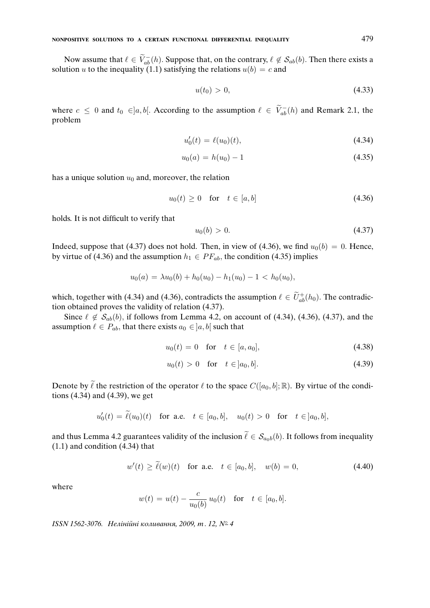Now assume that  $\ell \in \widetilde{V}_{ab}^{-}(h)$ . Suppose that, on the contrary,  $\ell \notin S_{ab}(b)$ . Then there exists a solution u to the inequality (1.1) satisfying the relations  $u(b) = c$  and

$$
u(t_0) > 0,\tag{4.33}
$$

where  $c \le 0$  and  $t_0 \in ]a, b[$ . According to the assumption  $\ell \in \widetilde{V}_{ab}^{-}(h)$  and Remark 2.1, the problem

$$
u_0'(t) = \ell(u_0)(t), \tag{4.34}
$$

$$
u_0(a) = h(u_0) - 1 \tag{4.35}
$$

has a unique solution  $u_0$  and, moreover, the relation

$$
u_0(t) \ge 0 \quad \text{for} \quad t \in [a, b] \tag{4.36}
$$

holds. It is not difficult to verify that

$$
u_0(b) > 0. \t\t(4.37)
$$

Indeed, suppose that (4.37) does not hold. Then, in view of (4.36), we find  $u_0(b) = 0$ . Hence, by virtue of (4.36) and the assumption  $h_1 \in PF_{ab}$ , the condition (4.35) implies

$$
u_0(a) = \lambda u_0(b) + h_0(u_0) - h_1(u_0) - 1 < h_0(u_0),
$$

which, together with (4.34) and (4.36), contradicts the assumption  $\ell \in \tilde{U}^+_{ab}(h_0)$ . The contradiction obtained proves the validity of relation (4.37).

Since  $\ell \notin S_{ab}(b)$ , if follows from Lemma 4.2, on account of (4.34), (4.36), (4.37), and the assumption  $\ell \in P_{ab}$ , that there exists  $a_0 \in ]a, b[$  such that

$$
u_0(t) = 0 \quad \text{for} \quad t \in [a, a_0], \tag{4.38}
$$

$$
u_0(t) > 0 \quad \text{for} \quad t \in ]a_0, b]. \tag{4.39}
$$

Denote by  $\tilde{\ell}$  the restriction of the operator  $\ell$  to the space  $C([a_0, b]; \mathbb{R})$ . By virtue of the conditions (4.34) and (4.39), we get

$$
u'_0(t) = \tilde{\ell}(u_0)(t)
$$
 for a.e.  $t \in [a_0, b], u_0(t) > 0$  for  $t \in ]a_0, b],$ 

and thus Lemma 4.2 guarantees validity of the inclusion  $\tilde{\ell} \in S_{a_0b}(b)$ . It follows from inequality (1.1) and condition (4.34) that

$$
w'(t) \ge \tilde{\ell}(w)(t)
$$
 for a.e.  $t \in [a_0, b]$ ,  $w(b) = 0$ , (4.40)

where

$$
w(t) = u(t) - \frac{c}{u_0(b)} u_0(t)
$$
 for  $t \in [a_0, b]$ .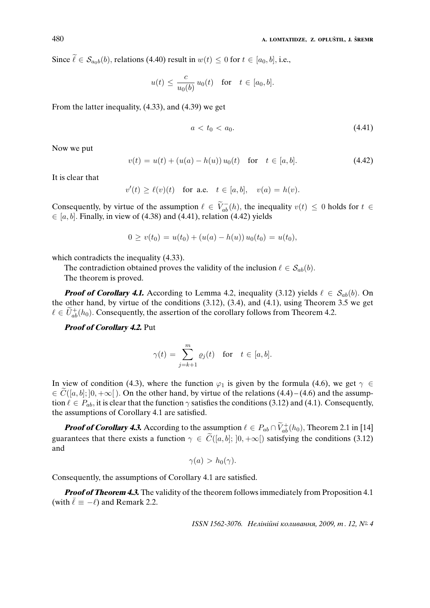Since  $\tilde{\ell} \in S_{a_0b}(b)$ , relations (4.40) result in  $w(t) \leq 0$  for  $t \in [a_0, b]$ , i.e.,

$$
u(t) \leq \frac{c}{u_0(b)} u_0(t) \quad \text{for} \quad t \in [a_0, b].
$$

From the latter inequality, (4.33), and (4.39) we get

$$
a < t_0 < a_0. \tag{4.41}
$$

Now we put

$$
v(t) = u(t) + (u(a) - h(u))u_0(t) \text{ for } t \in [a, b].
$$
 (4.42)

It is clear that

$$
v'(t) \ge \ell(v)(t) \quad \text{for a.e.} \quad t \in [a, b], \quad v(a) = h(v).
$$

Consequently, by virtue of the assumption  $\ell \in \widetilde{V}_{ab}^{-}(h)$ , the inequality  $v(t) \leq 0$  holds for  $t \in$  $\in$  [a, b]. Finally, in view of (4.38) and (4.41), relation (4.42) yields

$$
0 \ge v(t_0) = u(t_0) + (u(a) - h(u)) u_0(t_0) = u(t_0),
$$

which contradicts the inequality  $(4.33)$ .

The contradiction obtained proves the validity of the inclusion  $\ell \in S_{ab}(b)$ .

The theorem is proved.

**Proof of Corollary 4.1.** According to Lemma 4.2, inequality (3.12) yields  $\ell \in S_{ab}(b)$ . On the other hand, by virtue of the conditions (3.12), (3.4), and (4.1), using Theorem 3.5 we get  $\ell \in \tilde{U}_{ab}^{+}(h_0)$ . Consequently, the assertion of the corollary follows from Theorem 4.2.

**Proof of Corollary 4.2.** Put

$$
\gamma(t) = \sum_{j=k+1}^{m} \varrho_j(t) \quad \text{for} \quad t \in [a, b].
$$

In view of condition (4.3), where the function  $\varphi_1$  is given by the formula (4.6), we get  $\gamma \in$  $\in C([a, b]; [0, +\infty])$ . On the other hand, by virtue of the relations  $(4.4)$  –  $(4.6)$  and the assumption  $\ell \in P_{ab}$ , it is clear that the function  $\gamma$  satisfies the conditions (3.12) and (4.1). Consequently, the assumptions of Corollary 4.1 are satisfied.

**Proof of Corollary 4.3.** According to the assumption  $\ell \in P_{ab} \cap \widetilde{V}_{ab}^{+}(h_0)$ , Theorem 2.1 in [14] guarantees that there exists a function  $\gamma \in \widetilde{C}([a, b]; [0, +\infty[)$  satisfying the conditions (3.12) and

$$
\gamma(a) > h_0(\gamma).
$$

Consequently, the assumptions of Corollary 4.1 are satisfied.

**Proof of Theorem 4.3.** The validity of the theorem follows immediately from Proposition 4.1 (with  $\bar{\ell} \equiv -\ell$ ) and Remark 2.2.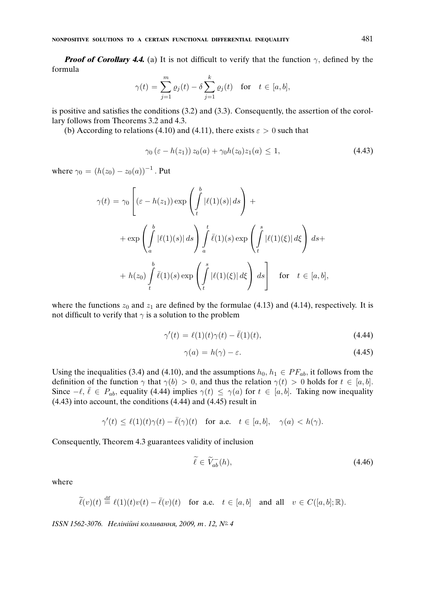**Proof of Corollary 4.4.** (a) It is not difficult to verify that the function  $\gamma$ , defined by the formula

$$
\gamma(t) = \sum_{j=1}^m \varrho_j(t) - \delta \sum_{j=1}^k \varrho_j(t) \quad \text{for} \quad t \in [a, b],
$$

is positive and satisfies the conditions (3.2) and (3.3). Consequently, the assertion of the corollary follows from Theorems 3.2 and 4.3.

(b) According to relations (4.10) and (4.11), there exists  $\varepsilon > 0$  such that

$$
\gamma_0 (\varepsilon - h(z_1)) z_0(a) + \gamma_0 h(z_0) z_1(a) \le 1, \tag{4.43}
$$

where  $\gamma_0 = (h(z_0) - z_0(a))^{-1}$  . Put

$$
\gamma(t) = \gamma_0 \left[ (\varepsilon - h(z_1)) \exp \left( \int_t^b |\ell(1)(s)| ds \right) + \n+ \exp \left( \int_a^b |\ell(1)(s)| ds \right) \int_a^t \bar{\ell}(1)(s) \exp \left( \int_t^s |\ell(1)(\xi)| d\xi \right) ds + \n+ h(z_0) \int_t^b \bar{\ell}(1)(s) \exp \left( \int_t^s |\ell(1)(\xi)| d\xi \right) ds \right] \quad \text{for} \quad t \in [a, b],
$$

where the functions  $z_0$  and  $z_1$  are defined by the formulae (4.13) and (4.14), respectively. It is not difficult to verify that  $\gamma$  is a solution to the problem

$$
\gamma'(t) = \ell(1)(t)\gamma(t) - \bar{\ell}(1)(t),\tag{4.44}
$$

$$
\gamma(a) = h(\gamma) - \varepsilon. \tag{4.45}
$$

Using the inequalities (3.4) and (4.10), and the assumptions  $h_0, h_1 \in PF_{ab}$ , it follows from the definition of the function  $\gamma$  that  $\gamma(b) > 0$ , and thus the relation  $\gamma(t) > 0$  holds for  $t \in [a, b]$ . Since  $-\ell, \bar{\ell} \in P_{ab}$ , equality (4.44) implies  $\gamma(t) \leq \gamma(a)$  for  $t \in [a, b]$ . Taking now inequality (4.43) into account, the conditions (4.44) and (4.45) result in

$$
\gamma'(t)\leq \ell(1)(t)\gamma(t)-\bar{\ell}(\gamma)(t) \quad \text{for a.e.}\quad t\in [a,b],\quad \gamma(a)
$$

Consequently, Theorem 4.3 guarantees validity of inclusion

$$
\tilde{\ell} \in \tilde{V}_{ab}^{-}(h),\tag{4.46}
$$

where

$$
\widetilde{\ell}(v)(t) \stackrel{\mathrm{df}}{=} \ell(1)(t)v(t) - \overline{\ell}(v)(t) \quad \text{for a.e.} \quad t \in [a, b] \quad \text{and all} \quad v \in C([a, b]; \mathbb{R}).
$$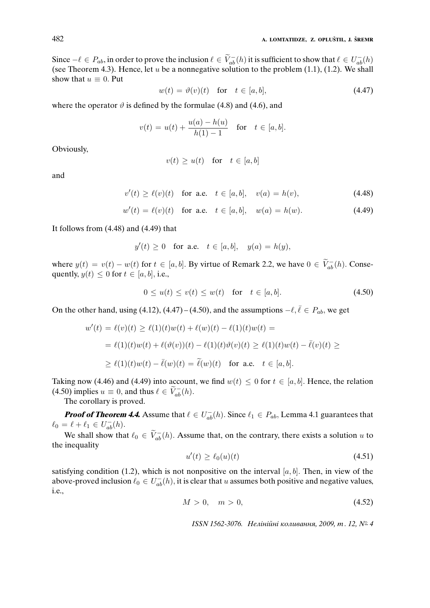Since  $-\ell \in P_{ab}$ , in order to prove the inclusion  $\ell \in V_{ab}^{-}(h)$  it is sufficient to show that  $\ell \in U_{ab}^{-}(h)$ (see Theorem 4.3). Hence, let  $u$  be a nonnegative solution to the problem  $(1.1)$ ,  $(1.2)$ . We shall show that  $u \equiv 0$ . Put

$$
w(t) = \vartheta(v)(t) \quad \text{for} \quad t \in [a, b], \tag{4.47}
$$

where the operator  $\vartheta$  is defined by the formulae (4.8) and (4.6), and

$$
v(t) = u(t) + \frac{u(a) - h(u)}{h(1) - 1}
$$
 for  $t \in [a, b]$ .

Obviously,

$$
v(t) \ge u(t) \quad \text{for} \quad t \in [a, b]
$$

and

$$
v'(t) \ge \ell(v)(t) \text{ for a.e. } t \in [a, b], \quad v(a) = h(v), \tag{4.48}
$$

$$
w'(t) = \ell(v)(t) \text{ for a.e. } t \in [a, b], \quad w(a) = h(w). \tag{4.49}
$$

It follows from (4.48) and (4.49) that

$$
y'(t) \ge 0 \quad \text{for a.e.} \quad t \in [a, b], \quad y(a) = h(y),
$$

where  $y(t) = v(t) - w(t)$  for  $t \in [a, b]$ . By virtue of Remark 2.2, we have  $0 \in \widetilde{V}_{ab}^{-}(h)$ . Consequently,  $y(t) \leq 0$  for  $t \in [a, b]$ , i.e.,

$$
0 \le u(t) \le v(t) \le w(t) \quad \text{for} \quad t \in [a, b]. \tag{4.50}
$$

On the other hand, using (4.12), (4.47) – (4.50), and the assumptions  $-\ell$ ,  $\bar{\ell} \in P_{ab}$ , we get

$$
w'(t) = \ell(v)(t) \ge \ell(1)(t)w(t) + \ell(w)(t) - \ell(1)(t)w(t) =
$$
  
=  $\ell(1)(t)w(t) + \ell(\vartheta(v))(t) - \ell(1)(t)\vartheta(v)(t) \ge \ell(1)(t)w(t) - \overline{\ell}(v)(t) \ge$   
 $\ge \ell(1)(t)w(t) - \overline{\ell}(w)(t) = \widetilde{\ell}(w)(t)$  for a.e.  $t \in [a, b]$ .

Taking now (4.46) and (4.49) into account, we find  $w(t) \leq 0$  for  $t \in [a, b]$ . Hence, the relation (4.50) implies  $u \equiv 0$ , and thus  $\ell \in \widetilde{V}_{ab}^{-}(h)$ .

The corollary is proved.

**Proof of Theorem 4.4.** Assume that  $\ell \in U_{ab}^{-}(h)$ . Since  $\ell_1 \in P_{ab}$ , Lemma 4.1 guarantees that  $\ell_0 = \ell + \ell_1 \in U_{ab}^{-}(h).$ 

We shall show that  $\ell_0 \in \widetilde{V}_{ab}^{-}(h)$ . Assume that, on the contrary, there exists a solution u to the inequality

$$
u'(t) \ge \ell_0(u)(t) \tag{4.51}
$$

satisfying condition (1.2), which is not nonpositive on the interval  $[a, b]$ . Then, in view of the above-proved inclusion  $\ell_0 \in U_{ab}^-(h)$ , it is clear that u assumes both positive and negative values, i.e.,

$$
M > 0, \quad m > 0,\tag{4.52}
$$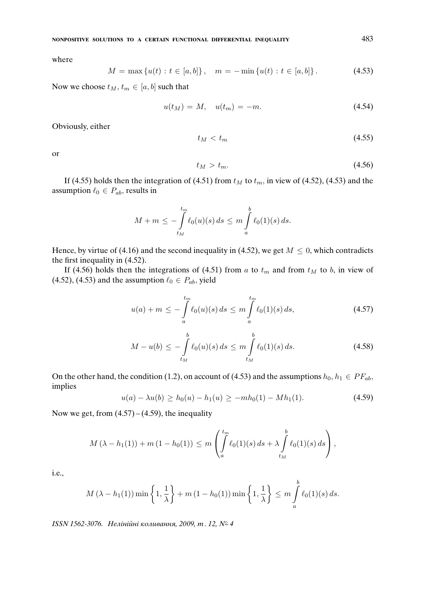where

$$
M = \max \{ u(t) : t \in [a, b] \}, \quad m = -\min \{ u(t) : t \in [a, b] \}.
$$
 (4.53)

Now we choose  $t_M$ ,  $t_m \in [a, b]$  such that

$$
u(t_M) = M, \quad u(t_m) = -m. \tag{4.54}
$$

Obviously, either

$$
t_M < t_m \tag{4.55}
$$

or

$$
t_M > t_m. \tag{4.56}
$$

If (4.55) holds then the integration of (4.51) from  $t_M$  to  $t_m$ , in view of (4.52), (4.53) and the assumption  $\ell_0 \in P_{ab}$ , results in

$$
M+m \leq -\int\limits_{t_M}^{t_m} \ell_0(u)(s) ds \leq m \int\limits_a^b \ell_0(1)(s) ds.
$$

Hence, by virtue of (4.16) and the second inequality in (4.52), we get  $M \leq 0$ , which contradicts the first inequality in (4.52).

If (4.56) holds then the integrations of (4.51) from a to  $t_m$  and from  $t_M$  to b, in view of (4.52), (4.53) and the assumption  $\ell_0 \in P_{ab}$ , yield

$$
u(a) + m \le -\int_{a}^{t_m} \ell_0(u)(s) ds \le m \int_{a}^{t_m} \ell_0(1)(s) ds,
$$
 (4.57)

$$
M - u(b) \le -\int_{t_M}^b \ell_0(u)(s) \, ds \le m \int_{t_M}^b \ell_0(1)(s) \, ds. \tag{4.58}
$$

On the other hand, the condition (1.2), on account of (4.53) and the assumptions  $h_0, h_1 \in PF_{ab}$ , implies

$$
u(a) - \lambda u(b) \ge h_0(u) - h_1(u) \ge -mh_0(1) - Mh_1(1). \tag{4.59}
$$

Now we get, from  $(4.57) - (4.59)$ , the inequality

$$
M(\lambda - h_1(1)) + m(1 - h_0(1)) \le m \left( \int_a^{t_m} \ell_0(1)(s) \, ds + \lambda \int_{t_M}^b \ell_0(1)(s) \, ds \right),
$$

i.e.,

$$
M\left(\lambda - h_1(1)\right) \min\left\{1, \frac{1}{\lambda}\right\} + m\left(1 - h_0(1)\right) \min\left\{1, \frac{1}{\lambda}\right\} \le m \int_a^b \ell_0(1)(s) \, ds.
$$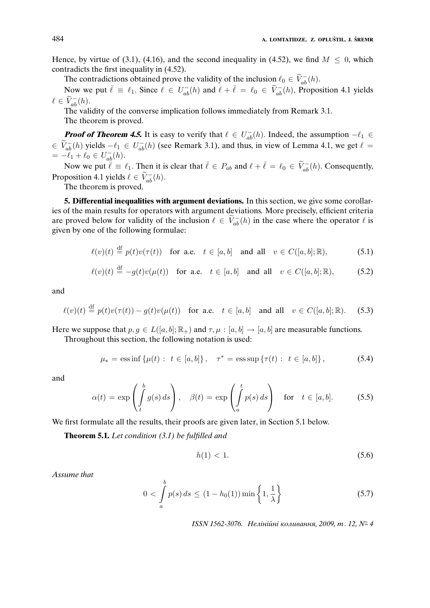Hence, by virtue of (3.1), (4.16), and the second inequality in (4.52), we find  $M \leq 0$ , which contradicts the first inequality in (4.52).

The contradictions obtained prove the validity of the inclusion  $\ell_0 \in \widetilde{V}_{ab}^-(h)$ .

Now we put  $\bar{\ell} \equiv \ell_1$ . Since  $\ell \in U_{ab}^-(h)$  and  $\ell + \bar{\ell} = \ell_0 \in \tilde{V}_{ab}^-(h)$ , Proposition 4.1 yields  $\ell \in \widetilde{V}_{ab}^{-}(h).$ 

The validity of the converse implication follows immediately from Remark 3.1. The theorem is proved.

**Proof of Theorem 4.5.** It is easy to verify that  $\ell \in U_{ab}^{-}(h)$ . Indeed, the assumption  $-\ell_1 \in$  $\tilde{V}_{ab}^{-}(h)$  yields  $-\ell_1 \in U_{ab}^{-}(h)$  (see Remark 3.1), and thus, in view of Lemma 4.1, we get  $\ell =$  $= -\ell_1 + \ell_0 \in U^-_{ab}(h).$ 

Now we put  $\bar{\ell} \equiv \ell_1$ . Then it is clear that  $\bar{\ell} \in P_{ab}$  and  $\ell + \bar{\ell} = \ell_0 \in \tilde{V}_{ab}^{-}(h)$ . Consequently, Proposition 4.1 yields  $\ell \in \widetilde{V}_{ab}^{-}(h)$ .

The theorem is proved.

**5. Differential inequalities with argument deviations.** In this section, we give some corollaries of the main results for operators with argument deviations. More precisely, efficient criteria are proved below for validity of the inclusion  $\ell \in \widetilde{V}_{ab}^{-}(h)$  in the case where the operator  $\ell$  is given by one of the following formulae:

$$
\ell(v)(t) \stackrel{\text{df}}{=} p(t)v(\tau(t)) \quad \text{for a.e.} \quad t \in [a, b] \quad \text{and all} \quad v \in C([a, b]; \mathbb{R}), \tag{5.1}
$$

$$
\ell(v)(t) \stackrel{\mathrm{df}}{=} -g(t)v(\mu(t)) \quad \text{for a.e.} \quad t \in [a, b] \quad \text{and all} \quad v \in C([a, b]; \mathbb{R}), \tag{5.2}
$$

and

$$
\ell(v)(t) \stackrel{\text{df}}{=} p(t)v(\tau(t)) - g(t)v(\mu(t)) \quad \text{for a.e.} \quad t \in [a, b] \quad \text{and all} \quad v \in C([a, b]; \mathbb{R}). \tag{5.3}
$$

Here we suppose that  $p, q \in L([a, b]; \mathbb{R}_+)$  and  $\tau, \mu : [a, b] \to [a, b]$  are measurable functions. Throughout this section, the following notation is used:

$$
\mu_* = \text{ess}\inf \{ \mu(t) : t \in [a, b] \}, \quad \tau^* = \text{ess}\sup \{ \tau(t) : t \in [a, b] \}, \tag{5.4}
$$

and

$$
\alpha(t) = \exp\left(\int_t^b g(s) \, ds\right), \quad \beta(t) = \exp\left(\int_a^t p(s) \, ds\right) \quad \text{for} \quad t \in [a, b]. \tag{5.5}
$$

We first formulate all the results, their proofs are given later, in Section 5.1 below.

**Theorem 5.1.** *Let condition (3.1) be fulfilled and*

b

$$
h(1) < 1. \tag{5.6}
$$

*Assume that*

$$
0 < \int_{a}^{b} p(s) \, ds \le (1 - h_0(1)) \min\left\{1, \frac{1}{\lambda}\right\} \tag{5.7}
$$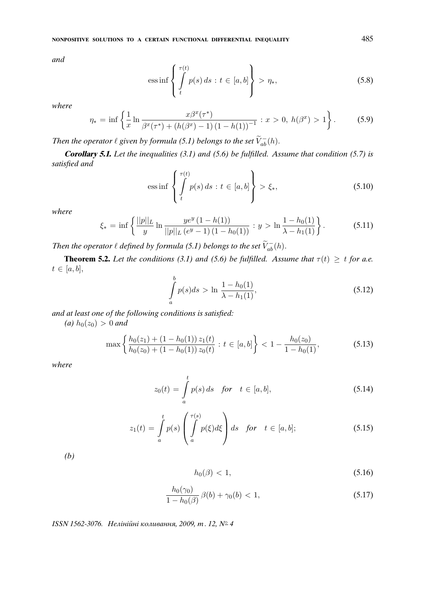*and*

$$
\operatorname{ess\,inf}\left\{\int\limits_{t}^{\tau(t)}p(s)\,ds\,:\,t\in[a,b]\right\}>\eta_*,\tag{5.8}
$$

*where*

$$
\eta_* = \inf \left\{ \frac{1}{x} \ln \frac{x \beta^x (\tau^*)}{\beta^x (\tau^*) + (h(\beta^x) - 1) (1 - h(1))^{-1}} : x > 0, \ h(\beta^x) > 1 \right\}.
$$
 (5.9)

*Then the operator*  $\ell$  given by formula (5.1) belongs to the set  $\widetilde{V}_{ab}^-(h)$ .

**Corollary 5.1.** *Let the inequalities (3.1) and (5.6) be fulfilled. Assume that condition (5.7) is satisfied and*

$$
\text{ess}\inf\left\{\int\limits_t^{\tau(t)} p(s) \, ds : t \in [a, b]\right\} > \xi_*,\tag{5.10}
$$

*where*

$$
\xi_* = \inf \left\{ \frac{||p||_L}{y} \ln \frac{ye^y (1 - h(1))}{||p||_L (e^y - 1) (1 - h_0(1))} : y > \ln \frac{1 - h_0(1)}{\lambda - h_1(1)} \right\}.
$$
 (5.11)

*Then the operator*  $\ell$  *defined by formula (5.1) belongs to the set*  $\widetilde{V}_{ab}^{-}(h)$ *.* 

**Theorem 5.2.** *Let the conditions (3.1) and (5.6) be fulfilled. Assume that*  $\tau(t) \geq t$  *for a.e.*  $t \in [a, b],$  $\overline{1}$ 

$$
\int_{a}^{b} p(s)ds > \ln \frac{1 - h_0(1)}{\lambda - h_1(1)},
$$
\n(5.12)

*and at least one of the following conditions is satisfied:*

*(a)*  $h_0(z_0) > 0$  *and* 

$$
\max\left\{\frac{h_0(z_1)+(1-h_0(1))z_1(t)}{h_0(z_0)+(1-h_0(1))z_0(t)} : t \in [a,b]\right\} < 1 - \frac{h_0(z_0)}{1-h_0(1)},\tag{5.13}
$$

*where*

$$
z_0(t) = \int_a^t p(s) ds \quad \text{for} \quad t \in [a, b], \tag{5.14}
$$

$$
z_1(t) = \int_a^t p(s) \left( \int_a^{\tau(s)} p(\xi) d\xi \right) ds \quad \text{for} \quad t \in [a, b]; \tag{5.15}
$$

*(b)*

$$
h_0(\beta) < 1,\tag{5.16}
$$

$$
\frac{h_0(\gamma_0)}{1 - h_0(\beta)} \,\beta(b) + \gamma_0(b) < 1,\tag{5.17}
$$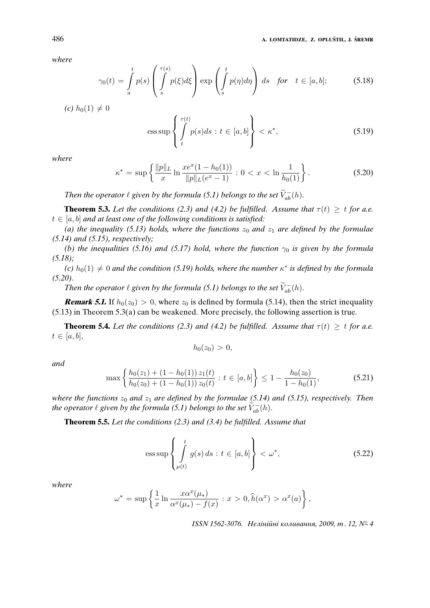486 **A. LOMTATIDZE, Z. OPLUSTIL, J. <sup>ˇ</sup> SREMR <sup>ˇ</sup>**

*where*

$$
\gamma_0(t) = \int_a^t p(s) \left( \int_s^{\tau(s)} p(\xi) d\xi \right) \exp \left( \int_s^t p(\eta) d\eta \right) ds \quad \text{for} \quad t \in [a, b]; \tag{5.18}
$$

*(c)*  $h_0(1) \neq 0$ 

$$
\text{ess}\sup\left\{\int\limits_t^{\tau(t)} p(s)ds \, : \, t \in [a, b]\right\} < \kappa^*,\tag{5.19}
$$

*where*

$$
\kappa^* = \sup \left\{ \frac{\|p\|_L}{x} \ln \frac{xe^x(1 - h_0(1))}{\|p\|_L(e^x - 1)} : 0 < x < \ln \frac{1}{h_0(1)} \right\}.
$$
\n(5.20)

*Then the operator*  $\ell$  given by the formula (5.1) belongs to the set  $\widetilde{V}_{ab}^-(h)$ .

**Theorem 5.3.** Let the conditions (2.3) and (4.2) be fulfilled. Assume that  $\tau(t) > t$  for a.e.  $t \in [a, b]$  *and at least one of the following conditions is satisfied:* 

(a) the inequality (5.13) holds, where the functions  $z_0$  and  $z_1$  are defined by the formulae *(5.14) and (5.15), respectively;*

*(b) the inequalities (5.16) and (5.17) hold, where the function*  $\gamma_0$  *is given by the formula (5.18);*

*(c)*  $h_0(1) \neq 0$  *and the condition (5.19) holds, where the number*  $\kappa^*$  *is defined by the formula (5.20).*

*Then the operator*  $\ell$  given by the formula (5.1) belongs to the set  $\widetilde{V}_{ab}^-(h)$ .

**Remark 5.1.** If  $h_0(z_0) > 0$ , where  $z_0$  is defined by formula (5.14), then the strict inequality (5.13) in Theorem 5.3(a) can be weakened. More precisely, the following assertion is true.

**Theorem 5.4.** *Let the conditions (2.3) and (4.2) be fulfilled. Assume that*  $\tau(t) \geq t$  *for a.e.*  $t \in [a, b],$ 

$$
h_0(z_0)>0,
$$

*and*

$$
\max\left\{\frac{h_0(z_1) + (1 - h_0(1))z_1(t)}{h_0(z_0) + (1 - h_0(1))z_0(t)} : t \in [a, b]\right\} \le 1 - \frac{h_0(z_0)}{1 - h_0(1)},\tag{5.21}
$$

*where the functions*  $z_0$  *and*  $z_1$  *are defined by the formulae (5.14) and (5.15), respectively. Then the operator*  $\ell$  given by the formula (5.1) belongs to the set  $\widetilde{V}_{ab}^-(h)$ .

**Theorem 5.5.** *Let the conditions (2.3) and (3.4) be fulfilled. Assume that*

$$
\text{ess}\sup\left\{\int\limits_{\mu(t)}^t g(s)\,ds \,:\, t \in [a, b]\right\} < \omega^*,\tag{5.22}
$$

*where*

$$
\omega^* = \sup \left\{ \frac{1}{x} \ln \frac{x \alpha^x(\mu_*)}{\alpha^x(\mu_*) - f(x)} : x > 0, \widehat{h}(\alpha^x) > \alpha^x(a) \right\},\,
$$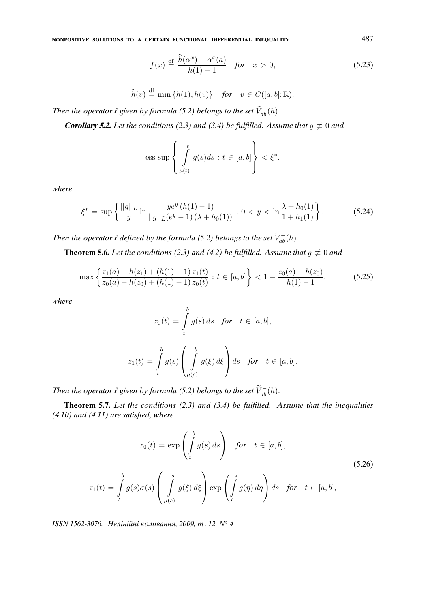**NONPOSITIVE SOLUTIONS TO A CERTAIN FUNCTIONAL DIFFERENTIAL INEQUALITY** 487

$$
f(x) \stackrel{\text{df}}{=} \frac{\widehat{h}(\alpha^x) - \alpha^x(a)}{h(1) - 1} \quad \text{for} \quad x > 0,\tag{5.23}
$$

$$
\widehat{h}(v) \stackrel{\text{df}}{=} \min\{h(1), h(v)\} \quad \text{for} \quad v \in C([a, b]; \mathbb{R}).
$$

*Then the operator*  $\ell$  given by formula (5.2) belongs to the set  $\widetilde{V}_{ab}^-(h)$ .

**Corollary 5.2.** Let the conditions (2.3) and (3.4) be fulfilled. Assume that  $g \neq 0$  and

$$
\text{ess sup}\left\{\int\limits_{\mu(t)}^t g(s)ds : t \in [a, b]\right\} < \xi^*,
$$

*where*

$$
\xi^* = \sup \left\{ \frac{||g||_L}{y} \ln \frac{ye^y \left(h(1) - 1\right)}{||g||_L(e^y - 1)\left(\lambda + h_0(1)\right)} : 0 < y < \ln \frac{\lambda + h_0(1)}{1 + h_1(1)} \right\}.
$$
\n(5.24)

*Then the operator*  $\ell$  *defined by the formula (5.2) belongs to the set*  $\widetilde{V}_{ab}^-(h)$ *.* 

**Theorem 5.6.** *Let the conditions (2.3) and (4.2) be fulfilled. Assume that*  $g \neq 0$  *and* 

$$
\max\left\{\frac{z_1(a) - h(z_1) + (h(1) - 1) z_1(t)}{z_0(a) - h(z_0) + (h(1) - 1) z_0(t)} : t \in [a, b]\right\} < 1 - \frac{z_0(a) - h(z_0)}{h(1) - 1},\tag{5.25}
$$

*where*

$$
z_0(t) = \int_t^b g(s) ds \quad \text{for} \quad t \in [a, b],
$$

$$
z_1(t) = \int_t^b g(s) \left( \int_{\mu(s)}^b g(\xi) d\xi \right) ds \quad \text{for} \quad t \in [a, b].
$$

*Then the operator*  $\ell$  given by formula (5.2) belongs to the set  $\widetilde{V}_{ab}^-(h)$ .

**Theorem 5.7.** *Let the conditions (2.3) and (3.4) be fulfilled. Assume that the inequalities (4.10) and (4.11) are satisfied, where*

$$
z_0(t) = \exp\left(\int_t^b g(s) \, ds\right) \quad \text{for} \quad t \in [a, b],
$$
\n
$$
z_1(t) = \int_t^b g(s)\sigma(s) \left(\int_{\mu(s)}^s g(\xi) \, d\xi\right) \exp\left(\int_t^s g(\eta) \, d\eta\right) ds \quad \text{for} \quad t \in [a, b],
$$
\n(5.26)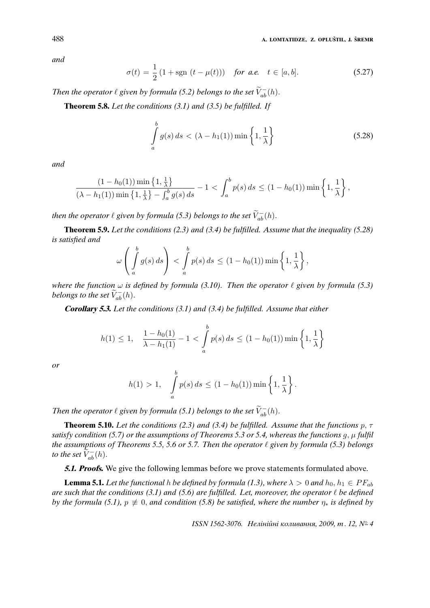*and*

$$
\sigma(t) = \frac{1}{2} (1 + \text{sgn } (t - \mu(t))) \quad \text{for a.e.} \quad t \in [a, b]. \tag{5.27}
$$

*Then the operator*  $\ell$  given by formula (5.2) belongs to the set  $\widetilde{V}_{ab}^-(h)$ .

**Theorem 5.8.** *Let the conditions (3.1) and (3.5) be fulfilled. If*

$$
\int_{a}^{b} g(s) ds < (\lambda - h_1(1)) \min\left\{1, \frac{1}{\lambda}\right\}
$$
\n(5.28)

*and*

$$
\frac{(1-h_0(1))\min\left\{1,\frac{1}{\lambda}\right\}}{(\lambda-h_1(1))\min\left\{1,\frac{1}{\lambda}\right\}-\int_a^b g(s)\,ds} - 1 < \int_a^b p(s)\,ds \leq (1-h_0(1))\min\left\{1,\frac{1}{\lambda}\right\},\,
$$

*then the operator*  $\ell$  given by formula (5.3) belongs to the set  $\widetilde{V}_{ab}^-(h)$ .

**Theorem 5.9.** *Let the conditions (2.3) and (3.4) be fulfilled. Assume that the inequality (5.28) is satisfied and*

$$
\omega\left(\int_a^b g(s)\,ds\right)<\int_a^b p(s)\,ds\leq (1-h_0(1))\min\left\{1,\frac{1}{\lambda}\right\},\,
$$

*where the function*  $\omega$  *is defined by formula (3.10). Then the operator*  $\ell$  given by formula (5.3) *belongs to the set*  $\widetilde{V}_{ab}^{-}(h)$ .

**Corollary 5.3.** *Let the conditions (3.1) and (3.4) be fulfilled. Assume that either*

$$
h(1) \le 1, \quad \frac{1 - h_0(1)}{\lambda - h_1(1)} - 1 < \int_a^b p(s) \, ds \le (1 - h_0(1)) \min\left\{1, \frac{1}{\lambda}\right\}
$$

*or*

$$
h(1) > 1,
$$
  $\int_a^b p(s) ds \le (1 - h_0(1)) \min \left\{ 1, \frac{1}{\lambda} \right\}.$ 

*Then the operator*  $\ell$  given by formula (5.1) belongs to the set  $\widetilde{V}_{ab}^-(h)$ .

**Theorem 5.10.** *Let the conditions (2.3) and (3.4) be fulfilled. Assume that the functions* p, τ *satisfy condition (5.7) or the assumptions of Theorems 5.3 or 5.4, whereas the functions*  $g, \mu$  *fulfil the assumptions of Theorems 5.5, 5.6 or 5.7. Then the operator*  $\ell$  given by formula (5.3) belongs *to the set*  $\widetilde{V}_{ab}^{-}(h)$ .

**5.1. Proofs.** We give the following lemmas before we prove statements formulated above.

**Lemma 5.1.** *Let the functional h be defined by formula (1.3), where*  $\lambda > 0$  *and*  $h_0, h_1 \in PF_{ab}$ *are such that the conditions (3.1) and (5.6) are fulfilled. Let, moreover, the operator*  $\ell$  *be defined by the formula (5.1),*  $p \neq 0$ , *and condition (5.8) be satisfied, where the number*  $\eta_*$  *is defined by*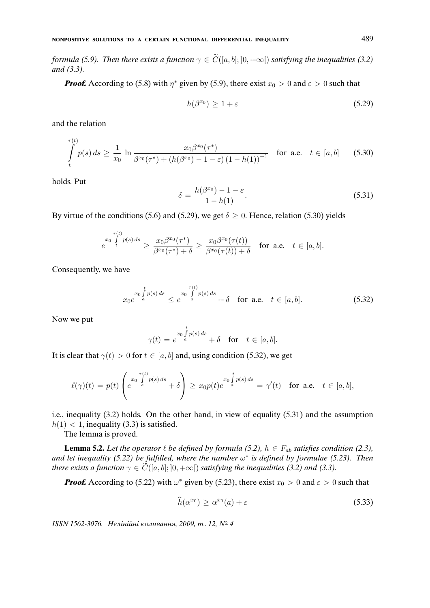*formula (5.9). Then there exists a function*  $\gamma \in \widetilde{C}([a, b]; [0, +\infty])$  *satisfying the inequalities (3.2) and (3.3).*

**Proof.** According to (5.8) with  $\eta^*$  given by (5.9), there exist  $x_0 > 0$  and  $\varepsilon > 0$  such that

$$
h(\beta^{x_0}) \ge 1 + \varepsilon \tag{5.29}
$$

and the relation

$$
\int_{t}^{\tau(t)} p(s) ds \ge \frac{1}{x_0} \ln \frac{x_0 \beta^{x_0}(\tau^*)}{\beta^{x_0}(\tau^*) + (h(\beta^{x_0}) - 1 - \varepsilon) (1 - h(1))^{-1}} \quad \text{for a.e.} \quad t \in [a, b]
$$
 (5.30)

holds. Put

$$
\delta = \frac{h(\beta^{x_0}) - 1 - \varepsilon}{1 - h(1)}.\tag{5.31}
$$

By virtue of the conditions (5.6) and (5.29), we get  $\delta \ge 0$ . Hence, relation (5.30) yields

$$
e^{x_0\int\limits_t^{\tau(t)}p(s)\,ds}\geq \frac{x_0\beta^{x_0}(\tau^*)}{\beta^{x_0}(\tau^*)+\delta}\geq \frac{x_0\beta^{x_0}(\tau(t))}{\beta^{x_0}(\tau(t))+\delta}\quad\text{for a.e.}\quad t\in[a,b].
$$

Consequently, we have

$$
x_0 e^{\int\limits_a^t p(s) ds} \le e^{x_0 \int\limits_a^{\tau(t)} p(s) ds} + \delta \quad \text{for a.e.} \quad t \in [a, b]. \tag{5.32}
$$

Now we put

$$
\gamma(t) = e^{x_0 \int_a^t p(s) ds} + \delta \quad \text{for} \quad t \in [a, b].
$$

It is clear that  $\gamma(t) > 0$  for  $t \in [a, b]$  and, using condition (5.32), we get

$$
\ell(\gamma)(t) = p(t) \begin{pmatrix} e^{\frac{\tau(t)}{a}} & \int_{a}^{\tau(t)} p(s) \, ds \\ e^{-\frac{\tau(t)}{a}} & \int_{a}^{\tau(t)} p(s) \, ds \end{pmatrix} \geq x_0 p(t) e^{\frac{\tau(t)}{a}} = \gamma'(t) \quad \text{for a.e.} \quad t \in [a, b],
$$

i.e., inequality (3.2) holds. On the other hand, in view of equality (5.31) and the assumption  $h(1)$  < 1, inequality (3.3) is satisfied.

The lemma is proved.

**Lemma 5.2.** *Let the operator*  $\ell$  *be defined by formula (5.2),*  $h \in F_{ab}$  *satisfies condition (2.3), and let inequality (5.22) be fulfilled, where the number* ω ∗ *is defined by formulae (5.23). Then there exists a function*  $\gamma \in C([a, b]; [0, +\infty])$  *satisfying the inequalities (3.2) and (3.3).* 

**Proof.** According to (5.22) with  $\omega^*$  given by (5.23), there exist  $x_0 > 0$  and  $\varepsilon > 0$  such that

$$
\widehat{h}(\alpha^{x_0}) \ge \alpha^{x_0}(a) + \varepsilon \tag{5.33}
$$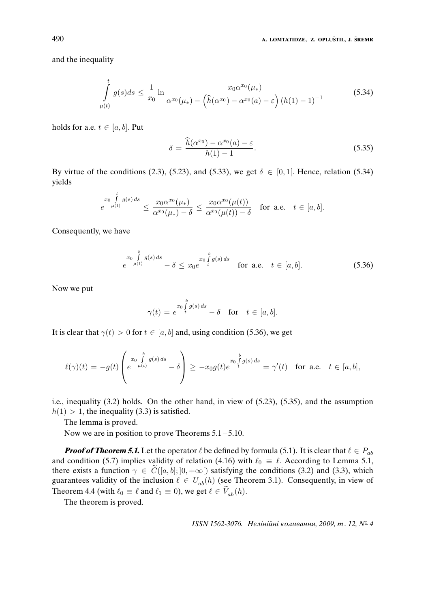and the inequality

$$
\int_{\mu(t)}^{t} g(s)ds \le \frac{1}{x_0} \ln \frac{x_0 \alpha^{x_0}(\mu_*)}{\alpha^{x_0}(\mu_*) - (\hat{h}(\alpha^{x_0}) - \alpha^{x_0}(a) - \varepsilon) (h(1) - 1)^{-1}}
$$
(5.34)

holds for a.e.  $t \in [a, b]$ . Put

$$
\delta = \frac{\widehat{h}(\alpha^{x_0}) - \alpha^{x_0}(a) - \varepsilon}{h(1) - 1}.
$$
\n(5.35)

By virtue of the conditions (2.3), (5.23), and (5.33), we get  $\delta \in [0,1]$ . Hence, relation (5.34) yields

$$
e^{x_0 \int\limits_{\mu(t)}^t g(s)\,ds} \leq \frac{x_0 \alpha^{x_0}(\mu_*)}{\alpha^{x_0}(\mu_*)-\delta} \leq \frac{x_0 \alpha^{x_0}(\mu(t))}{\alpha^{x_0}(\mu(t))-\delta} \quad \text{for a.e.} \quad t \in [a,b].
$$

Consequently, we have

$$
\sum_{e \mu(t)}^{x_0} \int_{\mu(t)}^{b} g(s) \, ds - \delta \le x_0 e^{-x_0 \int_{t}^{b} g(s) \, ds} \quad \text{for a.e.} \quad t \in [a, b]. \tag{5.36}
$$

Now we put

$$
\gamma(t) = e^{x_0 \int\limits_t^b g(s) \, ds} - \delta \quad \text{for} \quad t \in [a, b].
$$

It is clear that  $\gamma(t) > 0$  for  $t \in [a, b]$  and, using condition (5.36), we get

$$
\ell(\gamma)(t) = -g(t)\left(e^{\int\limits_{\mu(t)}^{b} g(s) ds} - \delta\right) \geq -x_0 g(t)e^{x_0 \int\limits_{t}^{b} g(s) ds} = \gamma'(t) \text{ for a.e. } t \in [a, b],
$$

i.e., inequality (3.2) holds. On the other hand, in view of (5.23), (5.35), and the assumption  $h(1) > 1$ , the inequality (3.3) is satisfied.

The lemma is proved.

Now we are in position to prove Theorems  $5.1 - 5.10$ .

**Proof of Theorem 5.1.** Let the operator  $\ell$  be defined by formula (5.1). It is clear that  $\ell \in P_{ab}$ and condition (5.7) implies validity of relation (4.16) with  $\ell_0 \equiv \ell$ . According to Lemma 5.1, there exists a function  $\gamma \in \widetilde{C}([a, b]; [0, +\infty[)$  satisfying the conditions (3.2) and (3.3), which guarantees validity of the inclusion  $\ell \in U_{ab}^{-}(h)$  (see Theorem 3.1). Consequently, in view of Theorem 4.4 (with  $\ell_0 \equiv \ell$  and  $\ell_1 \equiv 0$ ), we get  $\ell \in \widetilde{V}_{ab}^-(h)$ .

The theorem is proved.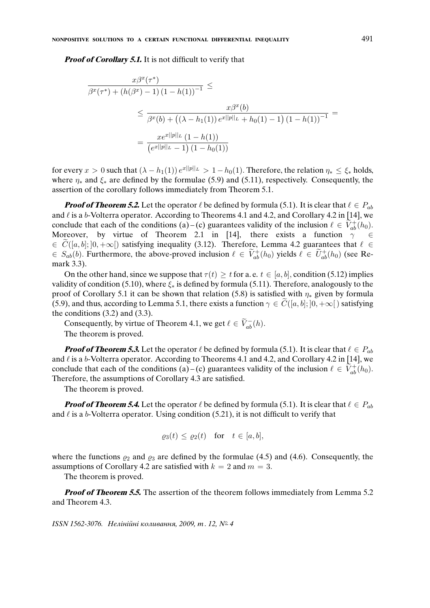**Proof of Corollary 5.1.** It is not difficult to verify that

$$
\frac{x\beta^x(\tau^*)}{\beta^x(\tau^*) + (h(\beta^x) - 1) (1 - h(1))^{-1}} \le
$$
  

$$
\leq \frac{x\beta^x(b)}{\beta^x(b) + ((\lambda - h_1(1)) e^{x||p||_L} + h_0(1) - 1) (1 - h(1))^{-1}} =
$$
  

$$
= \frac{x e^{x||p||_L} (1 - h(1))}{(e^{x||p||_L} - 1) (1 - h_0(1))}
$$

for every  $x > 0$  such that  $(\lambda - h_1(1)) e^{x||p||_L} > 1 - h_0(1)$ . Therefore, the relation  $\eta_* \leq \xi_*$  holds, where  $\eta_*$  and  $\xi_*$  are defined by the formulae (5.9) and (5.11), respectively. Consequently, the assertion of the corollary follows immediately from Theorem 5.1.

**Proof of Theorem 5.2.** Let the operator  $\ell$  be defined by formula (5.1). It is clear that  $\ell \in P_{ab}$ and  $\ell$  is a b-Volterra operator. According to Theorems 4.1 and 4.2, and Corollary 4.2 in [14], we conclude that each of the conditions (a) – (c) guarantees validity of the inclusion  $\ell \in \widetilde{V}_{ab}^{+}(h_0)$ . Moreover, by virtue of Theorem 2.1 in [14], there exists a function  $\gamma$  $\in \widetilde{C}([a, b]; [0, +\infty])$  satisfying inequality (3.12). Therefore, Lemma 4.2 guarantees that  $\ell \in$  $\in S_{ab}(b)$ . Furthermore, the above-proved inclusion  $\ell \in \widetilde{V}_{ab}^{+}(h_0)$  yields  $\ell \in \widetilde{U}_{ab}^{+}(h_0)$  (see Remark 3.3).

On the other hand, since we suppose that  $\tau(t) > t$  for a. e.  $t \in [a, b]$ , condition (5.12) implies validity of condition (5.10), where  $\xi_*$  is defined by formula (5.11). Therefore, analogously to the proof of Corollary 5.1 it can be shown that relation (5.8) is satisfied with  $\eta_*$  given by formula (5.9), and thus, according to Lemma 5.1, there exists a function  $\gamma \in C([a, b]; [0, +\infty])$  satisfying the conditions  $(3.2)$  and  $(3.3)$ .

Consequently, by virtue of Theorem 4.1, we get  $\ell \in \widetilde{V}_{ab}^{-}(h)$ .

The theorem is proved.

**Proof of Theorem 5.3.** Let the operator  $\ell$  be defined by formula (5.1). It is clear that  $\ell \in P_{ab}$ and  $\ell$  is a b-Volterra operator. According to Theorems 4.1 and 4.2, and Corollary 4.2 in [14], we conclude that each of the conditions (a) – (c) guarantees validity of the inclusion  $\ell \in \widetilde{V}_{ab}^{+}(h_0)$ . Therefore, the assumptions of Corollary 4.3 are satisfied.

The theorem is proved.

**Proof of Theorem 5.4.** Let the operator  $\ell$  be defined by formula (5.1). It is clear that  $\ell \in P_{ab}$ and  $\ell$  is a b-Volterra operator. Using condition (5.21), it is not difficult to verify that

$$
\varrho_3(t) \le \varrho_2(t) \quad \text{for} \quad t \in [a, b],
$$

where the functions  $\varrho_2$  and  $\varrho_3$  are defined by the formulae (4.5) and (4.6). Consequently, the assumptions of Corollary 4.2 are satisfied with  $k = 2$  and  $m = 3$ .

The theorem is proved.

**Proof of Theorem 5.5.** The assertion of the theorem follows immediately from Lemma 5.2 and Theorem 4.3.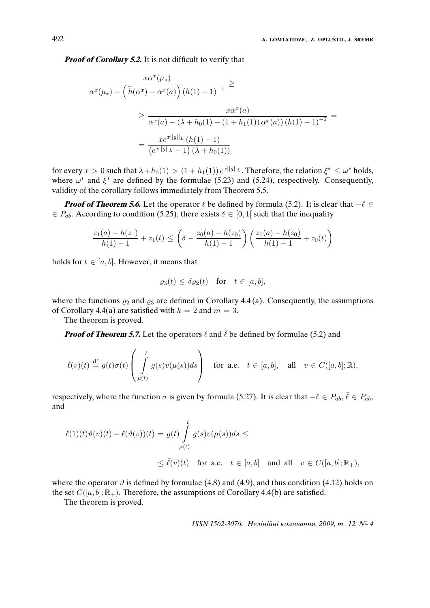**Proof of Corollary 5.2.** It is not difficult to verify that

$$
\frac{x\alpha^x(\mu_*)}{\alpha^x(\mu_*) - (\hat{h}(\alpha^x) - \alpha^x(a))(h(1) - 1)^{-1}} \ge
$$
  

$$
\ge \frac{x\alpha^x(a)}{\alpha^x(a) - (\lambda + h_0(1) - (1 + h_1(1))\alpha^x(a))(h(1) - 1)^{-1}} =
$$
  

$$
= \frac{x e^{x||g||_L} (h(1) - 1)}{(e^{x||g||_L} - 1)(\lambda + h_0(1))}
$$

for every  $x > 0$  such that  $\lambda + h_0(1) > (1 + h_1(1)) e^{x||g||_L}$ . Therefore, the relation  $\xi^* \leq \omega^*$  holds, where  $\omega^*$  and  $\xi^*$  are defined by the formulae (5.23) and (5.24), respectively. Consequently, validity of the corollary follows immediately from Theorem 5.5.

**Proof of Theorem 5.6.** Let the operator  $\ell$  be defined by formula (5.2). It is clear that  $-\ell \in$  $\in P_{ab}$ . According to condition (5.25), there exists  $\delta \in [0, 1]$  such that the inequality

$$
\frac{z_1(a) - h(z_1)}{h(1) - 1} + z_1(t) \le \left(\delta - \frac{z_0(a) - h(z_0)}{h(1) - 1}\right) \left(\frac{z_0(a) - h(z_0)}{h(1) - 1} + z_0(t)\right)
$$

holds for  $t \in [a, b]$ . However, it means that

$$
\varrho_3(t) \le \delta \varrho_2(t) \quad \text{for} \quad t \in [a, b],
$$

where the functions  $\rho_2$  and  $\rho_3$  are defined in Corollary 4.4 (a). Consequently, the assumptions of Corollary 4.4(a) are satisfied with  $k = 2$  and  $m = 3$ .

The theorem is proved.

**Proof of Theorem 5.7.** Let the operators  $\ell$  and  $\bar{\ell}$  be defined by formulae (5.2) and

$$
\bar{\ell}(v)(t) \stackrel{\text{df}}{=} g(t)\sigma(t) \left( \int\limits_{\mu(t)}^t g(s)v(\mu(s))ds \right) \quad \text{for a.e.} \quad t \in [a, b], \quad \text{all} \quad v \in C([a, b]; \mathbb{R}),
$$

respectively, where the function  $\sigma$  is given by formula (5.27). It is clear that  $-\ell \in P_{ab}$ ,  $\bar{\ell} \in P_{ab}$ , and

$$
\ell(1)(t)\vartheta(v)(t) - \ell(\vartheta(v))(t) = g(t) \int_{\mu(t)}^t g(s)v(\mu(s))ds \le
$$
  

$$
\leq \bar{\ell}(v)(t) \text{ for a.e. } t \in [a, b] \text{ and all } v \in C([a, b]; \mathbb{R}_+),
$$

where the operator  $\vartheta$  is defined by formulae (4.8) and (4.9), and thus condition (4.12) holds on the set  $C([a, b]; \mathbb{R}_+)$ . Therefore, the assumptions of Corollary 4.4(b) are satisfied.

The theorem is proved.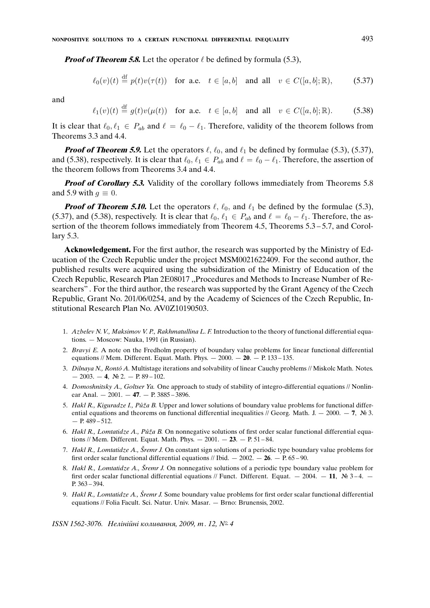**Proof of Theorem 5.8.** Let the operator  $\ell$  be defined by formula (5.3),

$$
\ell_0(v)(t) \stackrel{\text{df}}{=} p(t)v(\tau(t)) \quad \text{for a.e.} \quad t \in [a, b] \quad \text{and all} \quad v \in C([a, b]; \mathbb{R}), \tag{5.37}
$$

and

$$
\ell_1(v)(t) \stackrel{\text{df}}{=} g(t)v(\mu(t)) \quad \text{for a.e.} \quad t \in [a, b] \quad \text{and all} \quad v \in C([a, b]; \mathbb{R}). \tag{5.38}
$$

It is clear that  $\ell_0, \ell_1 \in P_{ab}$  and  $\ell = \ell_0 - \ell_1$ . Therefore, validity of the theorem follows from Theorems 3.3 and 4.4.

**Proof of Theorem 5.9.** Let the operators  $\ell$ ,  $\ell_0$ , and  $\ell_1$  be defined by formulae (5.3), (5.37), and (5.38), respectively. It is clear that  $\ell_0, \ell_1 \in P_{ab}$  and  $\ell = \ell_0 - \ell_1$ . Therefore, the assertion of the theorem follows from Theorems 3.4 and 4.4.

**Proof of Corollary 5.3.** Validity of the corollary follows immediately from Theorems 5.8 and 5.9 with  $g \equiv 0$ .

**Proof of Theorem 5.10.** Let the operators  $\ell$ ,  $\ell_0$ , and  $\ell_1$  be defined by the formulae (5.3), (5.37), and (5.38), respectively. It is clear that  $\ell_0, \ell_1 \in P_{ab}$  and  $\ell = \ell_0 - \ell_1$ . Therefore, the assertion of the theorem follows immediately from Theorem 4.5, Theorems 5.3 – 5.7, and Corollary 5.3.

**Acknowledgement.** For the first author, the research was supported by the Ministry of Education of the Czech Republic under the project MSM0021622409. For the second author, the published results were acquired using the subsidization of the Ministry of Education of the Czech Republic, Research Plan 2E08017 ,,Procedures and Methods to Increase Number of Researchers" . For the third author, the research was supported by the Grant Agency of the Czech Republic, Grant No. 201/06/0254, and by the Academy of Sciences of the Czech Republic, Institutional Research Plan No. AV0Z10190503.

- 1. *Azbelev N. V., Maksimov V. P., Rakhmatullina L. F.* Introduction to the theory of functional differential equations. — Moscow: Nauka, 1991 (in Russian).
- 2. *Bravyi E.* A note on the Fredholm property of boundary value problems for linear functional differential equations // Mem. Different. Equat. Math. Phys. — 2000. — **20**. — P. 133 – 135.
- 3. *Dilnaya N., Ronto A. ´* Multistage iterations and solvability of linear Cauchy problems // Miskolc Math. Notes.  $-2003. -4.$  No 2.  $- P. 89-102.$
- 4. *Domoshnitsky A., Goltser Ya.* One approach to study of stability of integro-differential equations // Nonlinear Anal. — 2001. — **47**. — P. 3885 – 3896.
- 5. *Hakl R., Kiguradze I., Půža B.* Upper and lower solutions of boundary value problems for functional differential equations and theorems on functional differential inequalities // Georg. Math. J.  $-2000$ .  $-7$ ,  $\mathbb{N}^6$  3.  $- P. 489 - 512.$
- 6. *Hakl R., Lomtatidze A., Pu˚za B. ˇ* On nonnegative solutions of first order scalar functional differential equations // Mem. Different. Equat. Math. Phys. — 2001. — **23**. — P. 51 – 84.
- 7. *Hakl R., Lomtatidze A., Sremr J. ˇ* On constant sign solutions of a periodic type boundary value problems for first order scalar functional differential equations // Ibid. — 2002. — **26**. — P. 65 – 90.
- 8. *Hakl R., Lomtatidze A., Sremr J. ˇ* On nonnegative solutions of a periodic type boundary value problem for first order scalar functional differential equations // Funct. Different. Equat.  $-2004$ .  $-11$ ,  $\mathcal{N}_2$  3-4.  $-$ P. 363 – 394.
- 9. *Hakl R., Lomtatidze A., Sremr J. ˇ* Some boundary value problems for first order scalar functional differential equations // Folia Facult. Sci. Natur. Univ. Masar. — Brno: Brunensis, 2002.